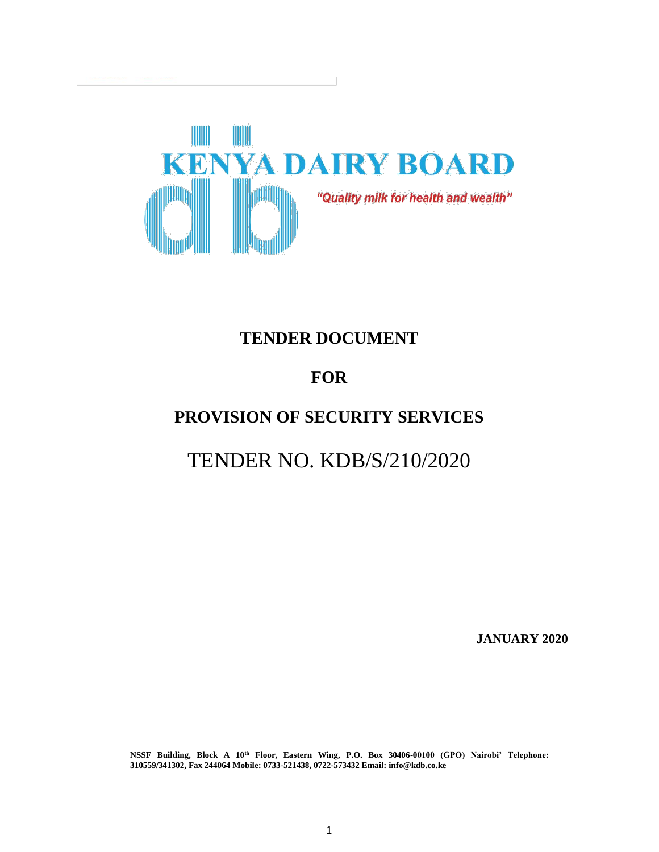

# **TENDER DOCUMENT**

# **FOR**

# **PROVISION OF SECURITY SERVICES**

# TENDER NO. KDB/S/210/2020

**JANUARY 2020**

**NSSF Building, Block A 10th Floor, Eastern Wing, P.O. Box 30406-00100 (GPO) Nairobi' Telephone: 310559/341302, Fax 244064 Mobile: 0733-521438, 0722-573432 Email: info@kdb.co.ke**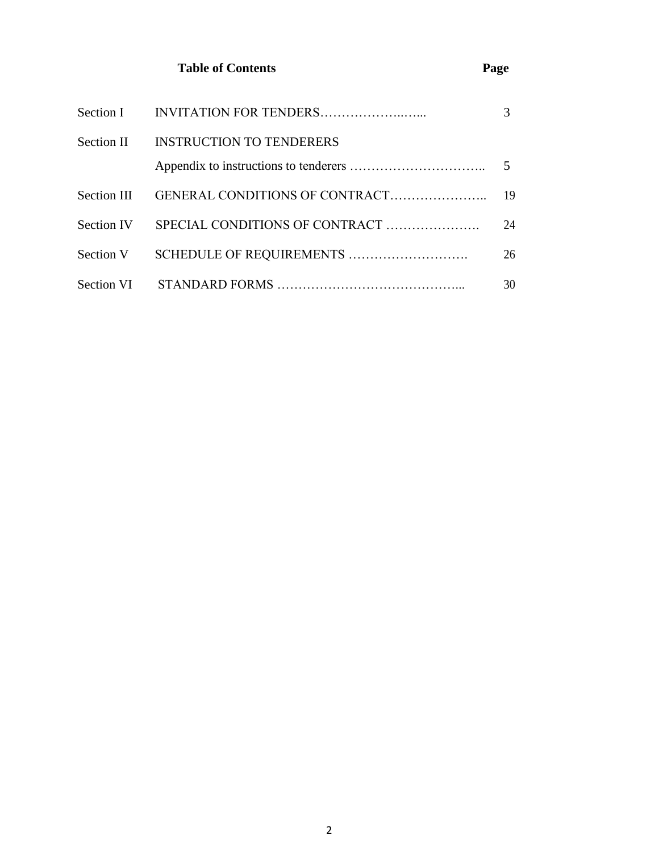# **Table of Contents** Page

| Section II        | <b>INSTRUCTION TO TENDERERS</b> |    |
|-------------------|---------------------------------|----|
|                   |                                 |    |
| Section III       | GENERAL CONDITIONS OF CONTRACT  | 19 |
| <b>Section IV</b> | SPECIAL CONDITIONS OF CONTRACT  | 24 |
| Section V         |                                 | 26 |
| Section VI        |                                 | 30 |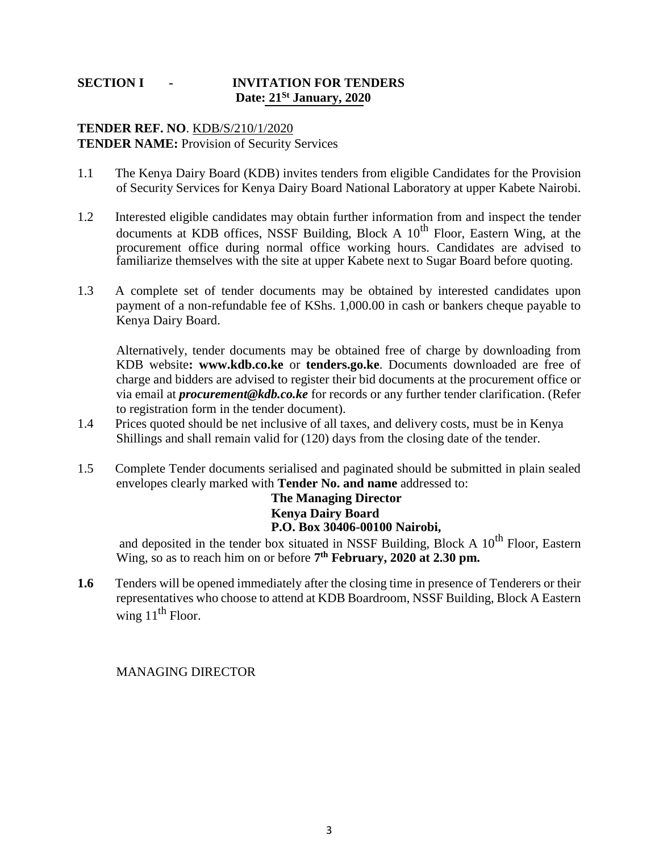### **SECTION I - INVITATION FOR TENDERS Date: 21St January, 2020**

#### **TENDER REF. NO**. KDB/S/210/1/2020 **TENDER NAME:** Provision of Security Services

- 1.1 The Kenya Dairy Board (KDB) invites tenders from eligible Candidates for the Provision of Security Services for Kenya Dairy Board National Laboratory at upper Kabete Nairobi.
- 1.2 Interested eligible candidates may obtain further information from and inspect the tender documents at KDB offices, NSSF Building, Block A  $10<sup>th</sup>$  Floor, Eastern Wing, at the procurement office during normal office working hours. Candidates are advised to familiarize themselves with the site at upper Kabete next to Sugar Board before quoting.
- 1.3 A complete set of tender documents may be obtained by interested candidates upon payment of a non-refundable fee of KShs. 1,000.00 in cash or bankers cheque payable to Kenya Dairy Board.

Alternatively, tender documents may be obtained free of charge by downloading from KDB website**: www.kdb.co.ke** or **tenders.go.ke**. Documents downloaded are free of charge and bidders are advised to register their bid documents at the procurement office or via email at *procurement@kdb.co.ke* for records or any further tender clarification. (Refer to registration form in the tender document).

- 1.4 Prices quoted should be net inclusive of all taxes, and delivery costs, must be in Kenya Shillings and shall remain valid for (120) days from the closing date of the tender.
- 1.5 Complete Tender documents serialised and paginated should be submitted in plain sealed envelopes clearly marked with **Tender No. and name** addressed to:

# **The Managing Director Kenya Dairy Board P.O. Box 30406-00100 Nairobi,**

and deposited in the tender box situated in NSSF Building, Block A  $10^{th}$  Floor, Eastern Wing, so as to reach him on or before **7 th February, 2020 at 2.30 pm.**

**1.6** Tenders will be opened immediately after the closing time in presence of Tenderers or their representatives who choose to attend at KDB Boardroom, NSSF Building, Block A Eastern wing  $11<sup>th</sup>$  Floor.

# MANAGING DIRECTOR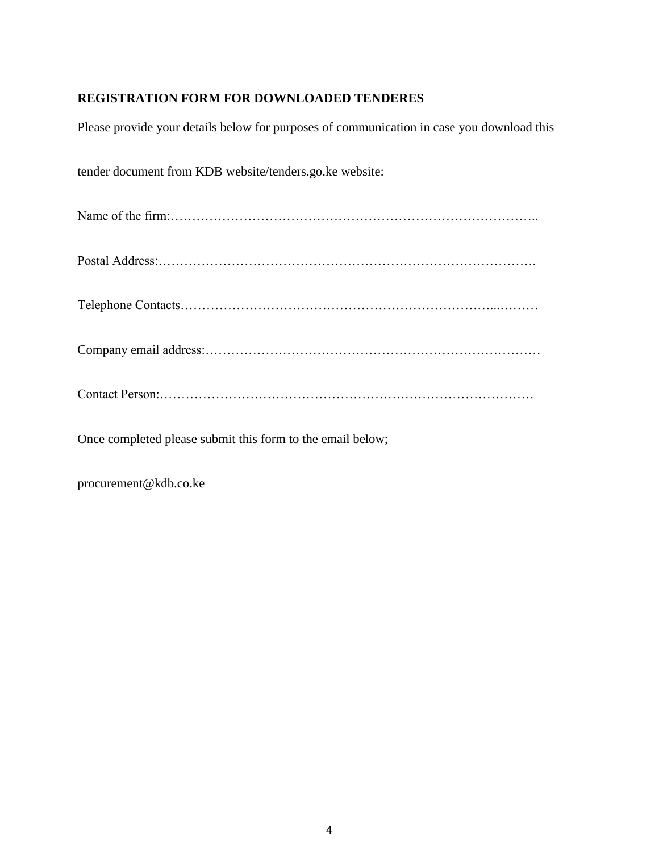# **REGISTRATION FORM FOR DOWNLOADED TENDERES**

Please provide your details below for purposes of communication in case you download this

tender document from KDB website/tenders.go.ke website:

Name of the firm:…………………………………………………………………………..

Postal Address:…………………………………………………………………………….

Telephone Contacts………………………………………………………………...………

Company email address:……………………………………………………………………

Contact Person:……………………………………………………………………………

Once completed please submit this form to the email below;

procurement@kdb.co.ke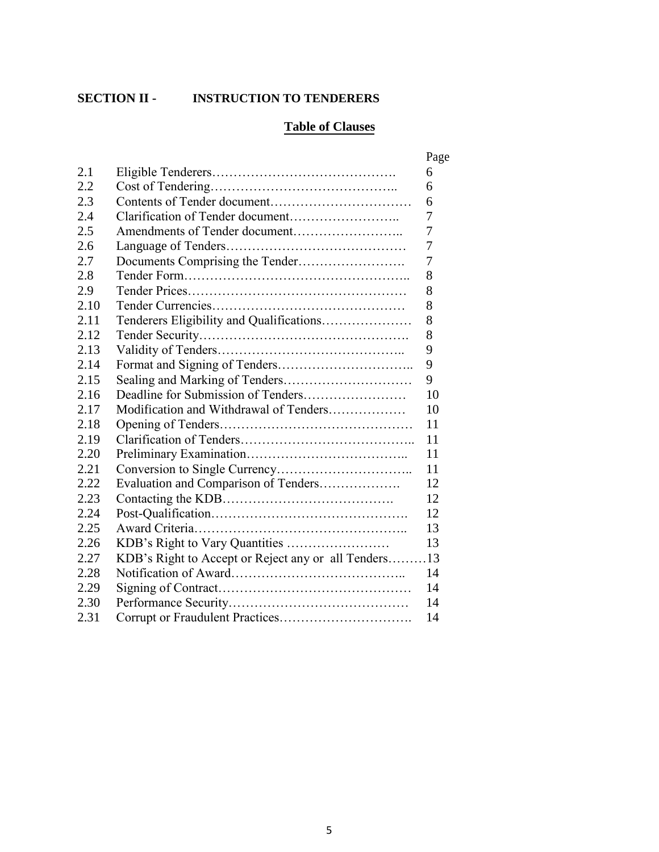# **SECTION II - INSTRUCTION TO TENDERERS**

# **Table of Clauses**

|      |                                                    | Page           |
|------|----------------------------------------------------|----------------|
| 2.1  |                                                    | 6              |
| 2.2  |                                                    | 6              |
| 2.3  |                                                    | 6              |
| 2.4  | Clarification of Tender document                   | 7              |
| 2.5  |                                                    | $\overline{7}$ |
| 2.6  |                                                    | 7              |
| 2.7  |                                                    | 7              |
| 2.8  |                                                    | 8              |
| 2.9  |                                                    | 8              |
| 2.10 |                                                    | 8              |
| 2.11 | Tenderers Eligibility and Qualifications           | 8              |
| 2.12 |                                                    | 8              |
| 2.13 |                                                    | 9              |
| 2.14 |                                                    | 9              |
| 2.15 |                                                    | 9              |
| 2.16 | Deadline for Submission of Tenders                 | 10             |
| 2.17 | Modification and Withdrawal of Tenders             | 10             |
| 2.18 |                                                    | 11             |
| 2.19 |                                                    | 11             |
| 2.20 |                                                    | 11             |
| 2.21 |                                                    | 11             |
| 2.22 | Evaluation and Comparison of Tenders               | 12             |
| 2.23 |                                                    | 12             |
| 2.24 |                                                    | 12             |
| 2.25 |                                                    | 13             |
| 2.26 |                                                    | 13             |
| 2.27 | KDB's Right to Accept or Reject any or all Tenders | .13            |
| 2.28 |                                                    | 14             |
| 2.29 |                                                    | 14             |
| 2.30 |                                                    | 14             |
| 2.31 |                                                    | 14             |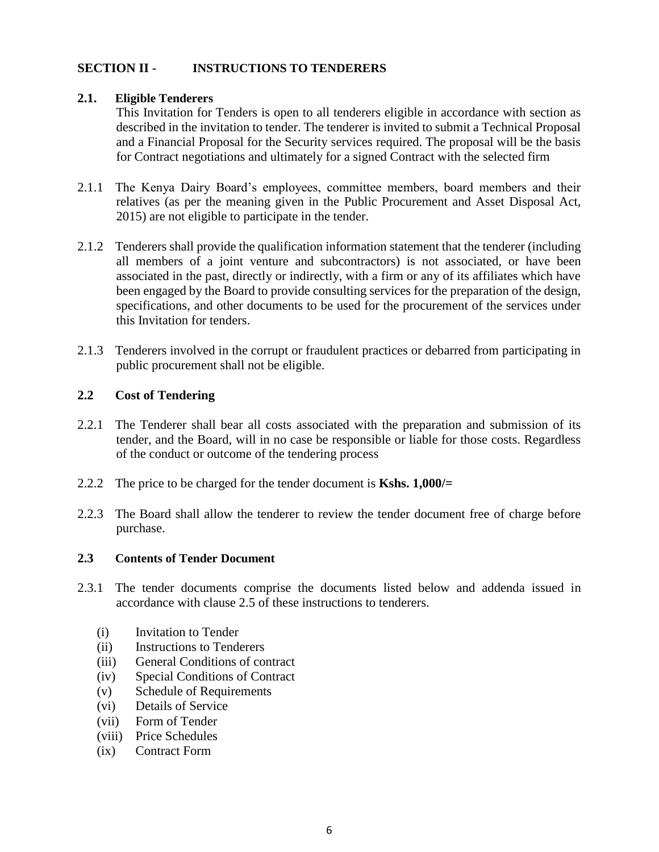#### **SECTION II - INSTRUCTIONS TO TENDERERS**

#### **2.1. Eligible Tenderers**

This Invitation for Tenders is open to all tenderers eligible in accordance with section as described in the invitation to tender. The tenderer is invited to submit a Technical Proposal and a Financial Proposal for the Security services required. The proposal will be the basis for Contract negotiations and ultimately for a signed Contract with the selected firm

- 2.1.1 The Kenya Dairy Board's employees, committee members, board members and their relatives (as per the meaning given in the Public Procurement and Asset Disposal Act, 2015) are not eligible to participate in the tender.
- 2.1.2 Tenderers shall provide the qualification information statement that the tenderer (including all members of a joint venture and subcontractors) is not associated, or have been associated in the past, directly or indirectly, with a firm or any of its affiliates which have been engaged by the Board to provide consulting services for the preparation of the design, specifications, and other documents to be used for the procurement of the services under this Invitation for tenders.
- 2.1.3 Tenderers involved in the corrupt or fraudulent practices or debarred from participating in public procurement shall not be eligible.

#### **2.2 Cost of Tendering**

- 2.2.1 The Tenderer shall bear all costs associated with the preparation and submission of its tender, and the Board, will in no case be responsible or liable for those costs. Regardless of the conduct or outcome of the tendering process
- 2.2.2 The price to be charged for the tender document is **Kshs. 1,000/=**
- 2.2.3 The Board shall allow the tenderer to review the tender document free of charge before purchase.

#### **2.3 Contents of Tender Document**

- 2.3.1 The tender documents comprise the documents listed below and addenda issued in accordance with clause 2.5 of these instructions to tenderers.
	- (i) Invitation to Tender
	- (ii) Instructions to Tenderers
	- (iii) General Conditions of contract
	- (iv) Special Conditions of Contract
	- (v) Schedule of Requirements
	- (vi) Details of Service
	- (vii) Form of Tender
	- (viii) Price Schedules
	- (ix) Contract Form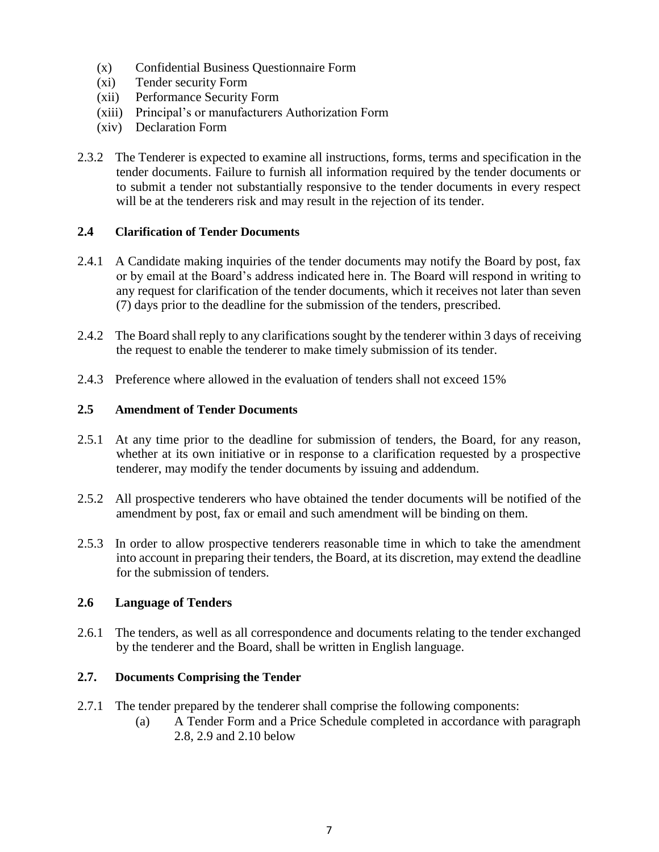- (x) Confidential Business Questionnaire Form
- (xi) Tender security Form
- (xii) Performance Security Form
- (xiii) Principal's or manufacturers Authorization Form
- (xiv) Declaration Form
- 2.3.2 The Tenderer is expected to examine all instructions, forms, terms and specification in the tender documents. Failure to furnish all information required by the tender documents or to submit a tender not substantially responsive to the tender documents in every respect will be at the tenderers risk and may result in the rejection of its tender.

#### **2.4 Clarification of Tender Documents**

- 2.4.1 A Candidate making inquiries of the tender documents may notify the Board by post, fax or by email at the Board's address indicated here in. The Board will respond in writing to any request for clarification of the tender documents, which it receives not later than seven (7) days prior to the deadline for the submission of the tenders, prescribed.
- 2.4.2 The Board shall reply to any clarifications sought by the tenderer within 3 days of receiving the request to enable the tenderer to make timely submission of its tender.
- 2.4.3 Preference where allowed in the evaluation of tenders shall not exceed 15%

#### **2.5 Amendment of Tender Documents**

- 2.5.1 At any time prior to the deadline for submission of tenders, the Board, for any reason, whether at its own initiative or in response to a clarification requested by a prospective tenderer, may modify the tender documents by issuing and addendum.
- 2.5.2 All prospective tenderers who have obtained the tender documents will be notified of the amendment by post, fax or email and such amendment will be binding on them.
- 2.5.3 In order to allow prospective tenderers reasonable time in which to take the amendment into account in preparing their tenders, the Board, at its discretion, may extend the deadline for the submission of tenders.

#### **2.6 Language of Tenders**

2.6.1 The tenders, as well as all correspondence and documents relating to the tender exchanged by the tenderer and the Board, shall be written in English language.

#### **2.7. Documents Comprising the Tender**

- 2.7.1 The tender prepared by the tenderer shall comprise the following components:
	- (a) A Tender Form and a Price Schedule completed in accordance with paragraph 2.8, 2.9 and 2.10 below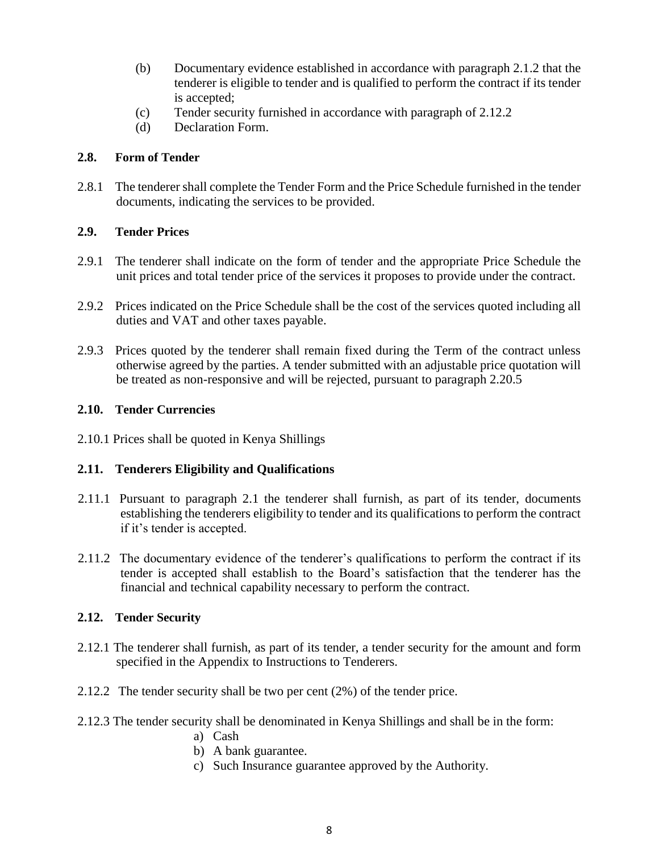- (b) Documentary evidence established in accordance with paragraph 2.1.2 that the tenderer is eligible to tender and is qualified to perform the contract if its tender is accepted;
- (c) Tender security furnished in accordance with paragraph of 2.12.2
- (d) Declaration Form.

#### **2.8. Form of Tender**

2.8.1 The tenderer shall complete the Tender Form and the Price Schedule furnished in the tender documents, indicating the services to be provided.

#### **2.9. Tender Prices**

- 2.9.1 The tenderer shall indicate on the form of tender and the appropriate Price Schedule the unit prices and total tender price of the services it proposes to provide under the contract.
- 2.9.2 Prices indicated on the Price Schedule shall be the cost of the services quoted including all duties and VAT and other taxes payable.
- 2.9.3 Prices quoted by the tenderer shall remain fixed during the Term of the contract unless otherwise agreed by the parties. A tender submitted with an adjustable price quotation will be treated as non-responsive and will be rejected, pursuant to paragraph 2.20.5

#### **2.10. Tender Currencies**

2.10.1 Prices shall be quoted in Kenya Shillings

## **2.11. Tenderers Eligibility and Qualifications**

- 2.11.1 Pursuant to paragraph 2.1 the tenderer shall furnish, as part of its tender, documents establishing the tenderers eligibility to tender and its qualifications to perform the contract if it's tender is accepted.
- 2.11.2 The documentary evidence of the tenderer's qualifications to perform the contract if its tender is accepted shall establish to the Board's satisfaction that the tenderer has the financial and technical capability necessary to perform the contract.

#### **2.12. Tender Security**

- 2.12.1 The tenderer shall furnish, as part of its tender, a tender security for the amount and form specified in the Appendix to Instructions to Tenderers.
- 2.12.2 The tender security shall be two per cent (2%) of the tender price.
- 2.12.3 The tender security shall be denominated in Kenya Shillings and shall be in the form:
	- a) Cash
	- b) A bank guarantee.
	- c) Such Insurance guarantee approved by the Authority.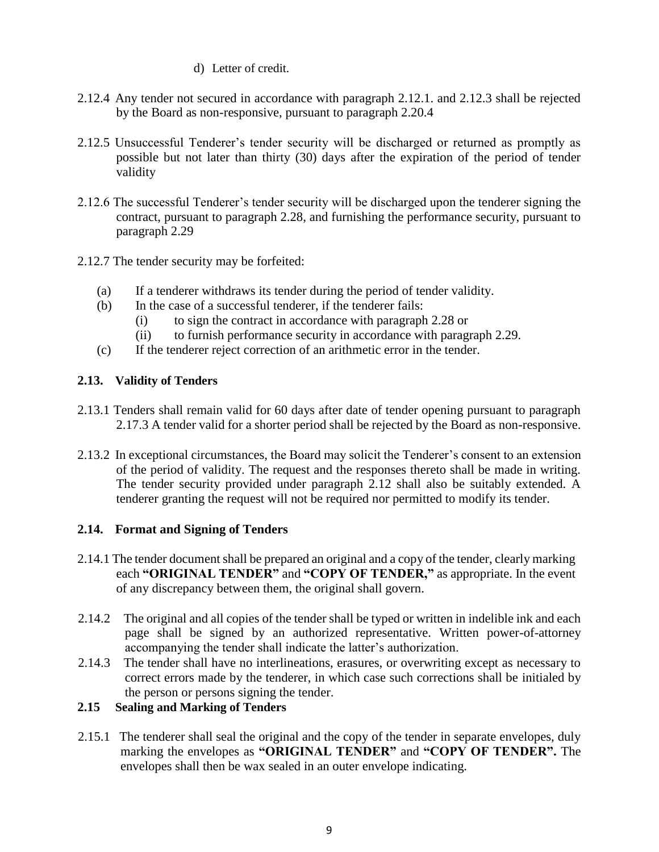#### d) Letter of credit.

- 2.12.4 Any tender not secured in accordance with paragraph 2.12.1. and 2.12.3 shall be rejected by the Board as non-responsive, pursuant to paragraph 2.20.4
- 2.12.5 Unsuccessful Tenderer's tender security will be discharged or returned as promptly as possible but not later than thirty (30) days after the expiration of the period of tender validity
- 2.12.6 The successful Tenderer's tender security will be discharged upon the tenderer signing the contract, pursuant to paragraph 2.28, and furnishing the performance security, pursuant to paragraph 2.29
- 2.12.7 The tender security may be forfeited:
	- (a) If a tenderer withdraws its tender during the period of tender validity.
	- (b) In the case of a successful tenderer, if the tenderer fails:
		- (i) to sign the contract in accordance with paragraph 2.28 or
		- (ii) to furnish performance security in accordance with paragraph 2.29.
	- (c) If the tenderer reject correction of an arithmetic error in the tender.

# **2.13. Validity of Tenders**

- 2.13.1 Tenders shall remain valid for 60 days after date of tender opening pursuant to paragraph 2.17.3 A tender valid for a shorter period shall be rejected by the Board as non-responsive.
- 2.13.2 In exceptional circumstances, the Board may solicit the Tenderer's consent to an extension of the period of validity. The request and the responses thereto shall be made in writing. The tender security provided under paragraph 2.12 shall also be suitably extended. A tenderer granting the request will not be required nor permitted to modify its tender.

# **2.14. Format and Signing of Tenders**

- 2.14.1 The tender document shall be prepared an original and a copy of the tender, clearly marking each **"ORIGINAL TENDER"** and **"COPY OF TENDER,"** as appropriate. In the event of any discrepancy between them, the original shall govern.
- 2.14.2 The original and all copies of the tender shall be typed or written in indelible ink and each page shall be signed by an authorized representative. Written power-of-attorney accompanying the tender shall indicate the latter's authorization.
- 2.14.3 The tender shall have no interlineations, erasures, or overwriting except as necessary to correct errors made by the tenderer, in which case such corrections shall be initialed by the person or persons signing the tender.

# **2.15 Sealing and Marking of Tenders**

2.15.1 The tenderer shall seal the original and the copy of the tender in separate envelopes, duly marking the envelopes as **"ORIGINAL TENDER"** and **"COPY OF TENDER".** The envelopes shall then be wax sealed in an outer envelope indicating.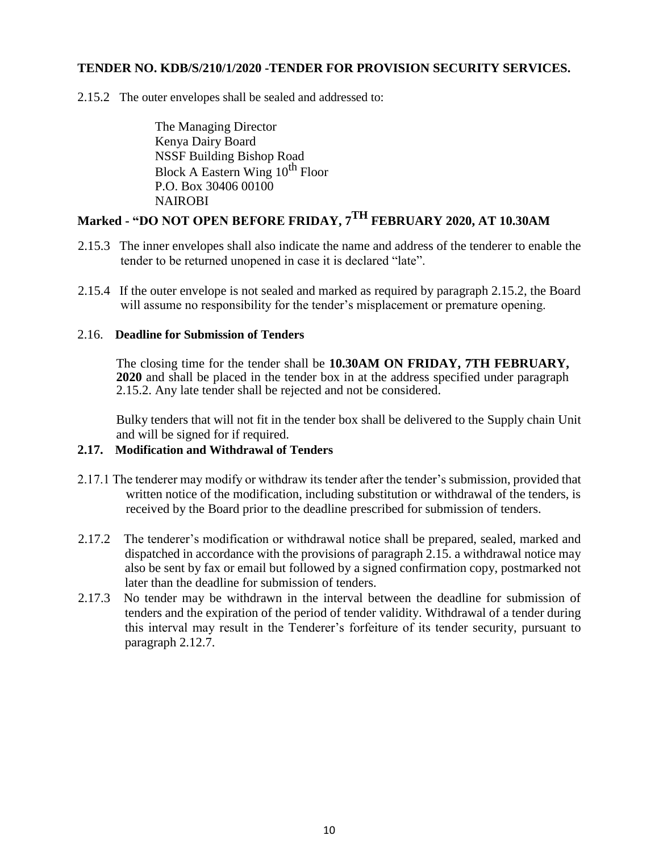#### **TENDER NO. KDB/S/210/1/2020 -TENDER FOR PROVISION SECURITY SERVICES.**

2.15.2 The outer envelopes shall be sealed and addressed to:

The Managing Director Kenya Dairy Board NSSF Building Bishop Road Block A Eastern Wing  $10^{th}$  Floor P.O. Box 30406 00100 NAIROBI

# **Marked - "DO NOT OPEN BEFORE FRIDAY, 7 TH FEBRUARY 2020, AT 10.30AM**

- 2.15.3 The inner envelopes shall also indicate the name and address of the tenderer to enable the tender to be returned unopened in case it is declared "late".
- 2.15.4 If the outer envelope is not sealed and marked as required by paragraph 2.15.2, the Board will assume no responsibility for the tender's misplacement or premature opening.

#### 2.16. **Deadline for Submission of Tenders**

The closing time for the tender shall be **10.30AM ON FRIDAY, 7TH FEBRUARY, 2020** and shall be placed in the tender box in at the address specified under paragraph 2.15.2. Any late tender shall be rejected and not be considered.

Bulky tenders that will not fit in the tender box shall be delivered to the Supply chain Unit and will be signed for if required.

#### **2.17. Modification and Withdrawal of Tenders**

- 2.17.1 The tenderer may modify or withdraw its tender after the tender's submission, provided that written notice of the modification, including substitution or withdrawal of the tenders, is received by the Board prior to the deadline prescribed for submission of tenders.
- 2.17.2 The tenderer's modification or withdrawal notice shall be prepared, sealed, marked and dispatched in accordance with the provisions of paragraph 2.15. a withdrawal notice may also be sent by fax or email but followed by a signed confirmation copy, postmarked not later than the deadline for submission of tenders.
- 2.17.3 No tender may be withdrawn in the interval between the deadline for submission of tenders and the expiration of the period of tender validity. Withdrawal of a tender during this interval may result in the Tenderer's forfeiture of its tender security, pursuant to paragraph 2.12.7.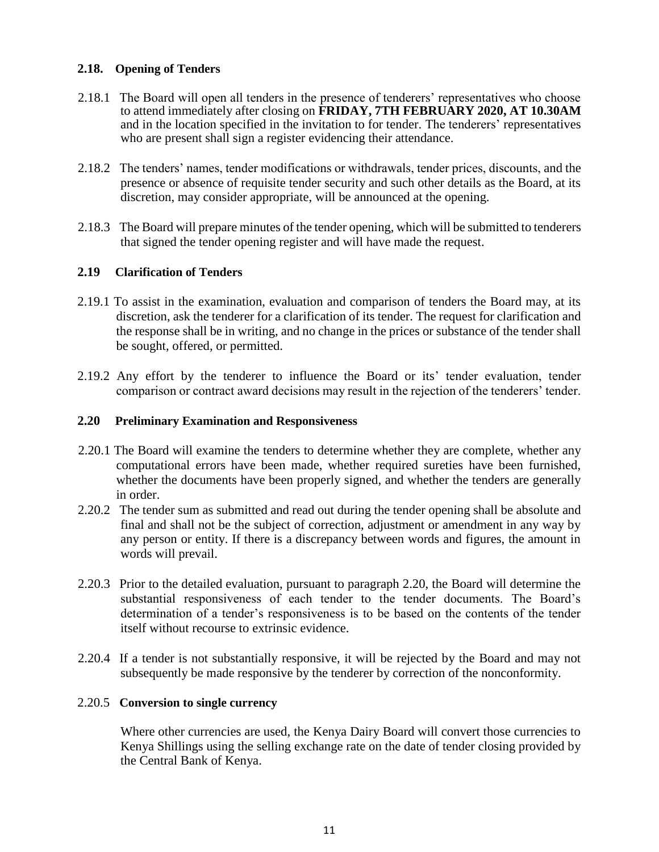#### **2.18. Opening of Tenders**

- 2.18.1 The Board will open all tenders in the presence of tenderers' representatives who choose to attend immediately after closing on **FRIDAY, 7TH FEBRUARY 2020, AT 10.30AM**  and in the location specified in the invitation to for tender. The tenderers' representatives who are present shall sign a register evidencing their attendance.
- 2.18.2 The tenders' names, tender modifications or withdrawals, tender prices, discounts, and the presence or absence of requisite tender security and such other details as the Board, at its discretion, may consider appropriate, will be announced at the opening.
- 2.18.3 The Board will prepare minutes of the tender opening, which will be submitted to tenderers that signed the tender opening register and will have made the request.

#### **2.19 Clarification of Tenders**

- 2.19.1 To assist in the examination, evaluation and comparison of tenders the Board may, at its discretion, ask the tenderer for a clarification of its tender. The request for clarification and the response shall be in writing, and no change in the prices or substance of the tender shall be sought, offered, or permitted.
- 2.19.2 Any effort by the tenderer to influence the Board or its' tender evaluation, tender comparison or contract award decisions may result in the rejection of the tenderers' tender.

#### **2.20 Preliminary Examination and Responsiveness**

- 2.20.1 The Board will examine the tenders to determine whether they are complete, whether any computational errors have been made, whether required sureties have been furnished, whether the documents have been properly signed, and whether the tenders are generally in order.
- 2.20.2 The tender sum as submitted and read out during the tender opening shall be absolute and final and shall not be the subject of correction, adjustment or amendment in any way by any person or entity. If there is a discrepancy between words and figures, the amount in words will prevail.
- 2.20.3 Prior to the detailed evaluation, pursuant to paragraph 2.20, the Board will determine the substantial responsiveness of each tender to the tender documents. The Board's determination of a tender's responsiveness is to be based on the contents of the tender itself without recourse to extrinsic evidence.
- 2.20.4 If a tender is not substantially responsive, it will be rejected by the Board and may not subsequently be made responsive by the tenderer by correction of the nonconformity.

#### 2.20.5 **Conversion to single currency**

Where other currencies are used, the Kenya Dairy Board will convert those currencies to Kenya Shillings using the selling exchange rate on the date of tender closing provided by the Central Bank of Kenya.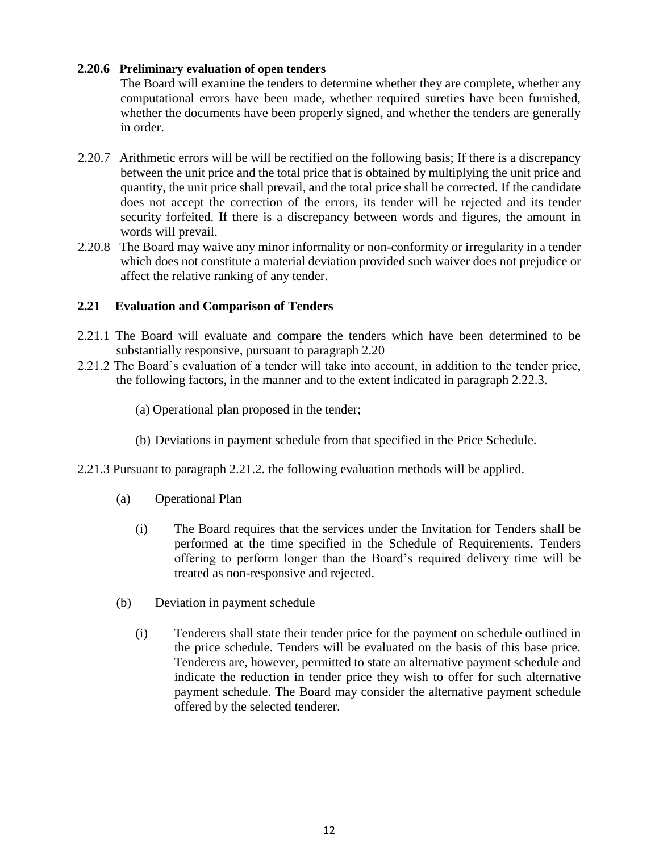#### **2.20.6 Preliminary evaluation of open tenders**

The Board will examine the tenders to determine whether they are complete, whether any computational errors have been made, whether required sureties have been furnished, whether the documents have been properly signed, and whether the tenders are generally in order.

- 2.20.7 Arithmetic errors will be will be rectified on the following basis; If there is a discrepancy between the unit price and the total price that is obtained by multiplying the unit price and quantity, the unit price shall prevail, and the total price shall be corrected. If the candidate does not accept the correction of the errors, its tender will be rejected and its tender security forfeited. If there is a discrepancy between words and figures, the amount in words will prevail.
- 2.20.8 The Board may waive any minor informality or non-conformity or irregularity in a tender which does not constitute a material deviation provided such waiver does not prejudice or affect the relative ranking of any tender.

#### **2.21 Evaluation and Comparison of Tenders**

- 2.21.1 The Board will evaluate and compare the tenders which have been determined to be substantially responsive, pursuant to paragraph 2.20
- 2.21.2 The Board's evaluation of a tender will take into account, in addition to the tender price, the following factors, in the manner and to the extent indicated in paragraph 2.22.3.
	- (a) Operational plan proposed in the tender;
	- (b) Deviations in payment schedule from that specified in the Price Schedule.
- 2.21.3 Pursuant to paragraph 2.21.2. the following evaluation methods will be applied.
	- (a) Operational Plan
		- (i) The Board requires that the services under the Invitation for Tenders shall be performed at the time specified in the Schedule of Requirements. Tenders offering to perform longer than the Board's required delivery time will be treated as non-responsive and rejected.
	- (b) Deviation in payment schedule
		- (i) Tenderers shall state their tender price for the payment on schedule outlined in the price schedule. Tenders will be evaluated on the basis of this base price. Tenderers are, however, permitted to state an alternative payment schedule and indicate the reduction in tender price they wish to offer for such alternative payment schedule. The Board may consider the alternative payment schedule offered by the selected tenderer.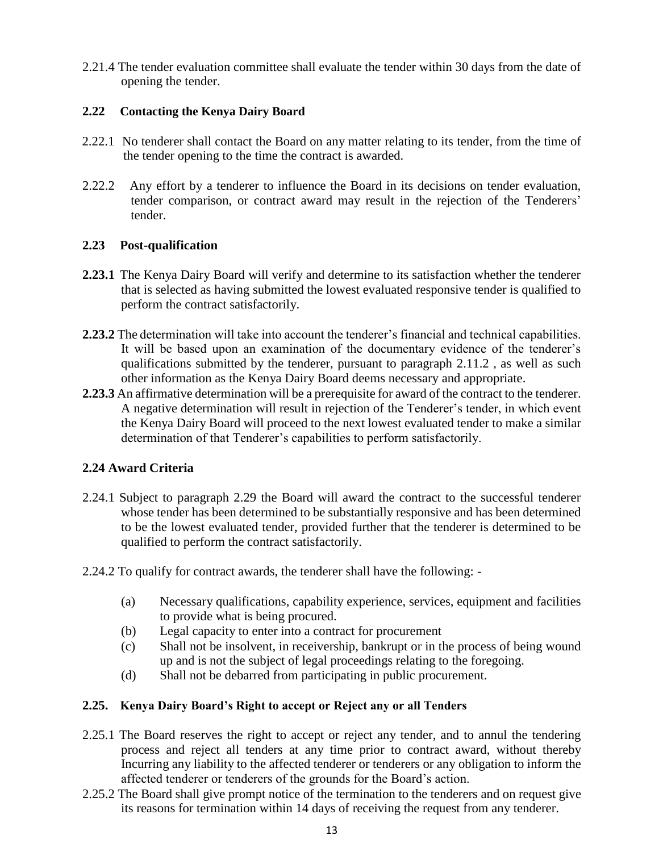2.21.4 The tender evaluation committee shall evaluate the tender within 30 days from the date of opening the tender.

#### **2.22 Contacting the Kenya Dairy Board**

- 2.22.1 No tenderer shall contact the Board on any matter relating to its tender, from the time of the tender opening to the time the contract is awarded.
- 2.22.2 Any effort by a tenderer to influence the Board in its decisions on tender evaluation, tender comparison, or contract award may result in the rejection of the Tenderers' tender.

#### **2.23 Post-qualification**

- **2.23.1** The Kenya Dairy Board will verify and determine to its satisfaction whether the tenderer that is selected as having submitted the lowest evaluated responsive tender is qualified to perform the contract satisfactorily.
- **2.23.2** The determination will take into account the tenderer's financial and technical capabilities. It will be based upon an examination of the documentary evidence of the tenderer's qualifications submitted by the tenderer, pursuant to paragraph 2.11.2 , as well as such other information as the Kenya Dairy Board deems necessary and appropriate.
- **2.23.3** An affirmative determination will be a prerequisite for award of the contract to the tenderer. A negative determination will result in rejection of the Tenderer's tender, in which event the Kenya Dairy Board will proceed to the next lowest evaluated tender to make a similar determination of that Tenderer's capabilities to perform satisfactorily.

## **2.24 Award Criteria**

- 2.24.1 Subject to paragraph 2.29 the Board will award the contract to the successful tenderer whose tender has been determined to be substantially responsive and has been determined to be the lowest evaluated tender, provided further that the tenderer is determined to be qualified to perform the contract satisfactorily.
- 2.24.2 To qualify for contract awards, the tenderer shall have the following:
	- (a) Necessary qualifications, capability experience, services, equipment and facilities to provide what is being procured.
	- (b) Legal capacity to enter into a contract for procurement
	- (c) Shall not be insolvent, in receivership, bankrupt or in the process of being wound up and is not the subject of legal proceedings relating to the foregoing.
	- (d) Shall not be debarred from participating in public procurement.

## **2.25. Kenya Dairy Board's Right to accept or Reject any or all Tenders**

- 2.25.1 The Board reserves the right to accept or reject any tender, and to annul the tendering process and reject all tenders at any time prior to contract award, without thereby Incurring any liability to the affected tenderer or tenderers or any obligation to inform the affected tenderer or tenderers of the grounds for the Board's action.
- 2.25.2 The Board shall give prompt notice of the termination to the tenderers and on request give its reasons for termination within 14 days of receiving the request from any tenderer.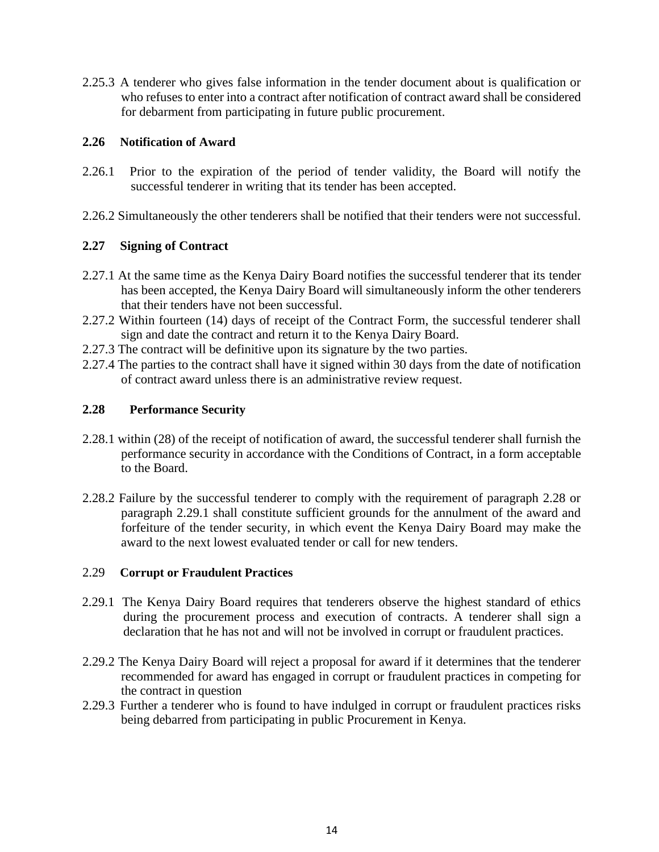2.25.3 A tenderer who gives false information in the tender document about is qualification or who refuses to enter into a contract after notification of contract award shall be considered for debarment from participating in future public procurement.

#### **2.26 Notification of Award**

- 2.26.1 Prior to the expiration of the period of tender validity, the Board will notify the successful tenderer in writing that its tender has been accepted.
- 2.26.2 Simultaneously the other tenderers shall be notified that their tenders were not successful.

## **2.27 Signing of Contract**

- 2.27.1 At the same time as the Kenya Dairy Board notifies the successful tenderer that its tender has been accepted, the Kenya Dairy Board will simultaneously inform the other tenderers that their tenders have not been successful.
- 2.27.2 Within fourteen (14) days of receipt of the Contract Form, the successful tenderer shall sign and date the contract and return it to the Kenya Dairy Board.
- 2.27.3 The contract will be definitive upon its signature by the two parties.
- 2.27.4 The parties to the contract shall have it signed within 30 days from the date of notification of contract award unless there is an administrative review request.

#### **2.28 Performance Security**

- 2.28.1 within (28) of the receipt of notification of award, the successful tenderer shall furnish the performance security in accordance with the Conditions of Contract, in a form acceptable to the Board.
- 2.28.2 Failure by the successful tenderer to comply with the requirement of paragraph 2.28 or paragraph 2.29.1 shall constitute sufficient grounds for the annulment of the award and forfeiture of the tender security, in which event the Kenya Dairy Board may make the award to the next lowest evaluated tender or call for new tenders.

#### 2.29 **Corrupt or Fraudulent Practices**

- 2.29.1 The Kenya Dairy Board requires that tenderers observe the highest standard of ethics during the procurement process and execution of contracts. A tenderer shall sign a declaration that he has not and will not be involved in corrupt or fraudulent practices.
- 2.29.2 The Kenya Dairy Board will reject a proposal for award if it determines that the tenderer recommended for award has engaged in corrupt or fraudulent practices in competing for the contract in question
- 2.29.3 Further a tenderer who is found to have indulged in corrupt or fraudulent practices risks being debarred from participating in public Procurement in Kenya.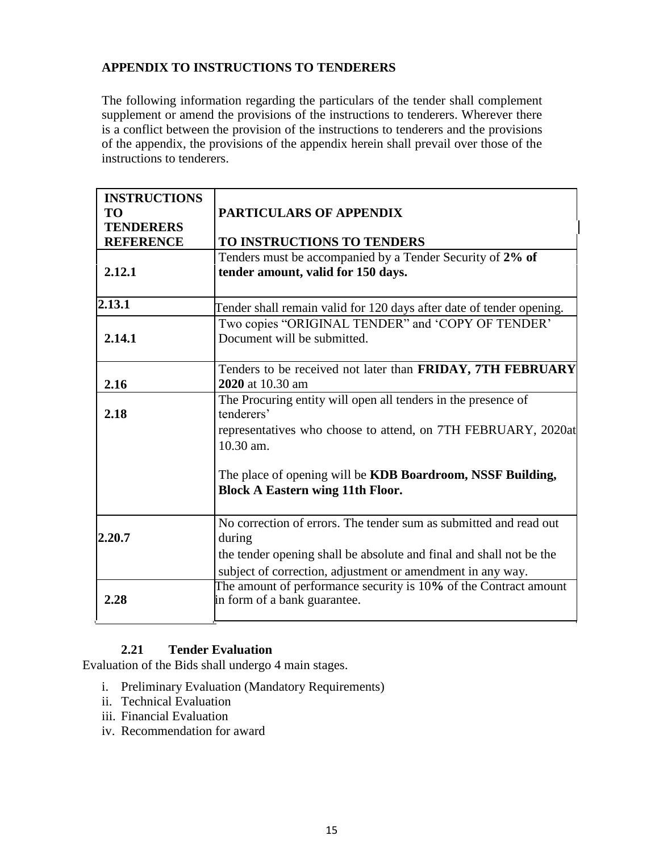## **APPENDIX TO INSTRUCTIONS TO TENDERERS**

The following information regarding the particulars of the tender shall complement supplement or amend the provisions of the instructions to tenderers. Wherever there is a conflict between the provision of the instructions to tenderers and the provisions of the appendix, the provisions of the appendix herein shall prevail over those of the instructions to tenderers.

| <b>INSTRUCTIONS</b>           |                                                                             |  |
|-------------------------------|-----------------------------------------------------------------------------|--|
| <b>TO</b><br><b>TENDERERS</b> | <b>PARTICULARS OF APPENDIX</b>                                              |  |
| <b>REFERENCE</b>              | TO INSTRUCTIONS TO TENDERS                                                  |  |
|                               | Tenders must be accompanied by a Tender Security of 2% of                   |  |
| 2.12.1                        | tender amount, valid for 150 days.                                          |  |
|                               |                                                                             |  |
| 2.13.1                        | Tender shall remain valid for 120 days after date of tender opening.        |  |
|                               | Two copies "ORIGINAL TENDER" and 'COPY OF TENDER'                           |  |
| 2.14.1                        | Document will be submitted.                                                 |  |
|                               |                                                                             |  |
|                               | Tenders to be received not later than FRIDAY, 7TH FEBRUARY                  |  |
| 2.16                          | <b>2020</b> at 10.30 am                                                     |  |
| 2.18                          | The Procuring entity will open all tenders in the presence of<br>tenderers' |  |
|                               | representatives who choose to attend, on 7TH FEBRUARY, 2020at<br>10.30 am.  |  |
|                               |                                                                             |  |
|                               | The place of opening will be KDB Boardroom, NSSF Building,                  |  |
|                               | <b>Block A Eastern wing 11th Floor.</b>                                     |  |
|                               |                                                                             |  |
|                               | No correction of errors. The tender sum as submitted and read out           |  |
| 2.20.7                        | during                                                                      |  |
|                               | the tender opening shall be absolute and final and shall not be the         |  |
|                               | subject of correction, adjustment or amendment in any way.                  |  |
|                               | The amount of performance security is 10% of the Contract amount            |  |
| 2.28                          | in form of a bank guarantee.                                                |  |
|                               |                                                                             |  |

## **2.21 Tender Evaluation**

Evaluation of the Bids shall undergo 4 main stages.

- i. Preliminary Evaluation (Mandatory Requirements)
- ii. Technical Evaluation
- iii. Financial Evaluation
- iv. Recommendation for award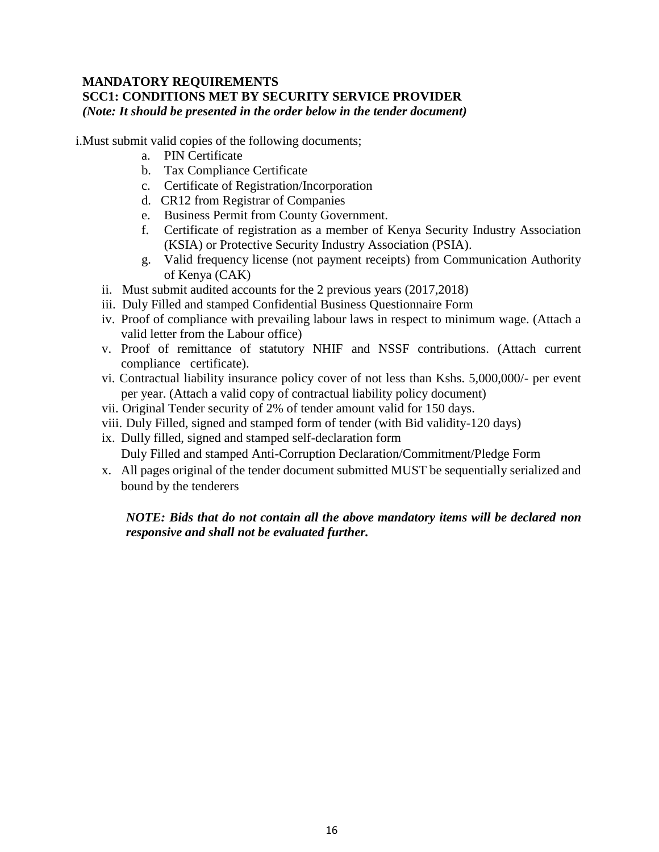#### **MANDATORY REQUIREMENTS SCC1: CONDITIONS MET BY SECURITY SERVICE PROVIDER** *(Note: It should be presented in the order below in the tender document)*

- i.Must submit valid copies of the following documents;
	- a. PIN Certificate
	- b. Tax Compliance Certificate
	- c. Certificate of Registration/Incorporation
	- d. CR12 from Registrar of Companies
	- e. Business Permit from County Government.
	- f. Certificate of registration as a member of Kenya Security Industry Association (KSIA) or Protective Security Industry Association (PSIA).
	- g. Valid frequency license (not payment receipts) from Communication Authority of Kenya (CAK)
	- ii. Must submit audited accounts for the 2 previous years (2017,2018)
	- iii. Duly Filled and stamped Confidential Business Questionnaire Form
	- iv. Proof of compliance with prevailing labour laws in respect to minimum wage. (Attach a valid letter from the Labour office)
	- v. Proof of remittance of statutory NHIF and NSSF contributions. (Attach current compliance certificate).
	- vi. Contractual liability insurance policy cover of not less than Kshs. 5,000,000/- per event per year. (Attach a valid copy of contractual liability policy document)
	- vii. Original Tender security of 2% of tender amount valid for 150 days.
	- viii. Duly Filled, signed and stamped form of tender (with Bid validity-120 days)
	- ix. Dully filled, signed and stamped self-declaration form

Duly Filled and stamped Anti-Corruption Declaration/Commitment/Pledge Form

x. All pages original of the tender document submitted MUST be sequentially serialized and bound by the tenderers

## *NOTE: Bids that do not contain all the above mandatory items will be declared non responsive and shall not be evaluated further.*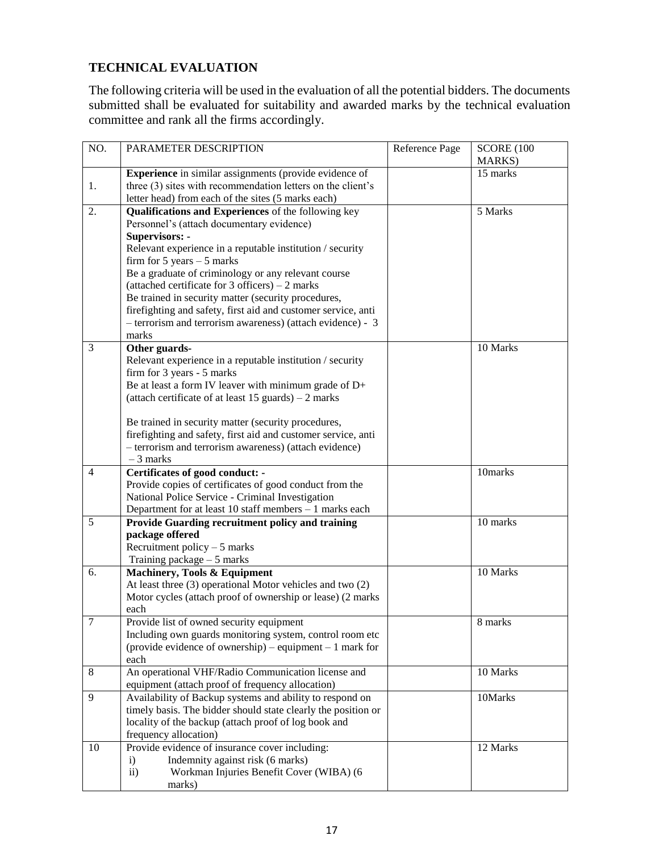# **TECHNICAL EVALUATION**

The following criteria will be used in the evaluation of all the potential bidders. The documents submitted shall be evaluated for suitability and awarded marks by the technical evaluation committee and rank all the firms accordingly.

| NO. | PARAMETER DESCRIPTION                                         | Reference Page | <b>SCORE (100)</b> |
|-----|---------------------------------------------------------------|----------------|--------------------|
|     |                                                               |                | MARKS)             |
|     | <b>Experience</b> in similar assignments (provide evidence of |                | 15 marks           |
| 1.  | three (3) sites with recommendation letters on the client's   |                |                    |
|     | letter head) from each of the sites (5 marks each)            |                |                    |
| 2.  | Qualifications and Experiences of the following key           |                | 5 Marks            |
|     | Personnel's (attach documentary evidence)                     |                |                    |
|     | Supervisors: -                                                |                |                    |
|     | Relevant experience in a reputable institution / security     |                |                    |
|     | firm for $5$ years $-5$ marks                                 |                |                    |
|     | Be a graduate of criminology or any relevant course           |                |                    |
|     | (attached certificate for 3 officers) $-2$ marks              |                |                    |
|     | Be trained in security matter (security procedures,           |                |                    |
|     | firefighting and safety, first aid and customer service, anti |                |                    |
|     | - terrorism and terrorism awareness) (attach evidence) - 3    |                |                    |
|     | marks                                                         |                |                    |
| 3   | Other guards-                                                 |                | 10 Marks           |
|     | Relevant experience in a reputable institution / security     |                |                    |
|     | firm for 3 years - 5 marks                                    |                |                    |
|     | Be at least a form IV leaver with minimum grade of $D+$       |                |                    |
|     | (attach certificate of at least $15$ guards) – 2 marks        |                |                    |
|     |                                                               |                |                    |
|     | Be trained in security matter (security procedures,           |                |                    |
|     | firefighting and safety, first aid and customer service, anti |                |                    |
|     | - terrorism and terrorism awareness) (attach evidence)        |                |                    |
|     | $-3$ marks                                                    |                |                    |
| 4   | Certificates of good conduct: -                               |                | 10marks            |
|     | Provide copies of certificates of good conduct from the       |                |                    |
|     | National Police Service - Criminal Investigation              |                |                    |
|     | Department for at least 10 staff members $-1$ marks each      |                | 10 marks           |
| 5   | Provide Guarding recruitment policy and training              |                |                    |
|     | package offered                                               |                |                    |
|     | Recruitment policy $-5$ marks<br>Training package $-5$ marks  |                |                    |
| 6.  | <b>Machinery, Tools &amp; Equipment</b>                       |                | 10 Marks           |
|     | At least three (3) operational Motor vehicles and two (2)     |                |                    |
|     | Motor cycles (attach proof of ownership or lease) (2 marks    |                |                    |
|     | each                                                          |                |                    |
| 7   | Provide list of owned security equipment                      |                | 8 marks            |
|     | Including own guards monitoring system, control room etc      |                |                    |
|     | (provide evidence of ownership) – equipment $-1$ mark for     |                |                    |
|     | each                                                          |                |                    |
| 8   | An operational VHF/Radio Communication license and            |                | 10 Marks           |
|     | equipment (attach proof of frequency allocation)              |                |                    |
| 9   | Availability of Backup systems and ability to respond on      |                | 10Marks            |
|     | timely basis. The bidder should state clearly the position or |                |                    |
|     | locality of the backup (attach proof of log book and          |                |                    |
|     | frequency allocation)                                         |                |                    |
| 10  | Provide evidence of insurance cover including:                |                | 12 Marks           |
|     | Indemnity against risk (6 marks)<br>$\mathbf{i}$              |                |                    |
|     | $\mathbf{ii}$<br>Workman Injuries Benefit Cover (WIBA) (6     |                |                    |
|     | marks)                                                        |                |                    |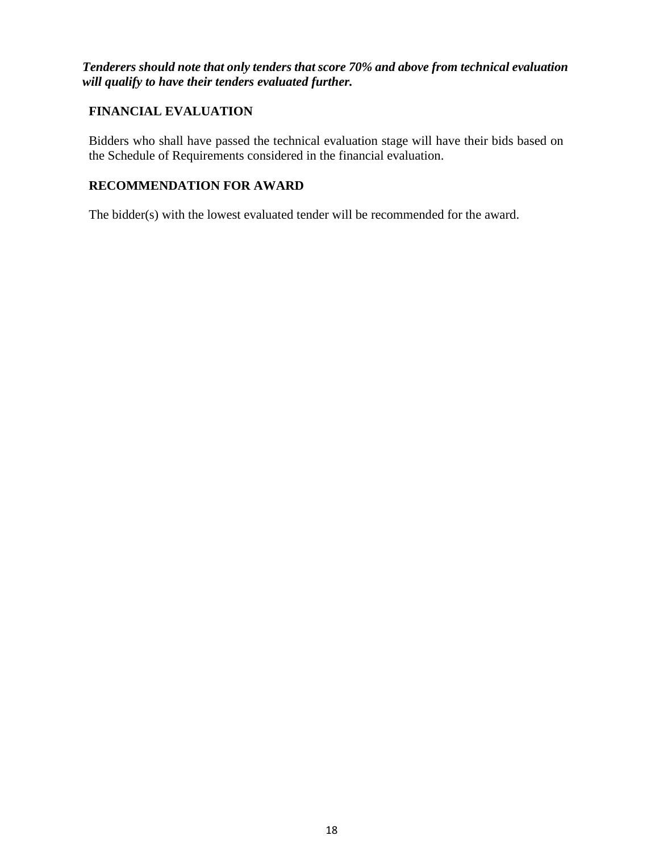*Tenderers should note that only tenders that score 70% and above from technical evaluation will qualify to have their tenders evaluated further.*

# **FINANCIAL EVALUATION**

Bidders who shall have passed the technical evaluation stage will have their bids based on the Schedule of Requirements considered in the financial evaluation.

# **RECOMMENDATION FOR AWARD**

The bidder(s) with the lowest evaluated tender will be recommended for the award.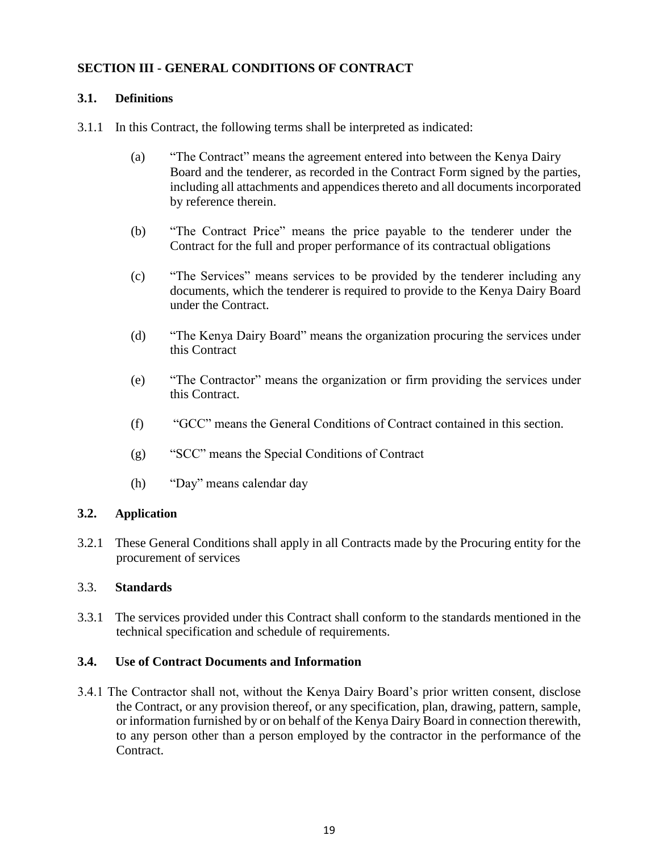# **SECTION III - GENERAL CONDITIONS OF CONTRACT**

### **3.1. Definitions**

- 3.1.1 In this Contract, the following terms shall be interpreted as indicated:
	- (a) "The Contract" means the agreement entered into between the Kenya Dairy Board and the tenderer, as recorded in the Contract Form signed by the parties, including all attachments and appendices thereto and all documents incorporated by reference therein.
	- (b) "The Contract Price" means the price payable to the tenderer under the Contract for the full and proper performance of its contractual obligations
	- (c) "The Services" means services to be provided by the tenderer including any documents, which the tenderer is required to provide to the Kenya Dairy Board under the Contract.
	- (d) "The Kenya Dairy Board" means the organization procuring the services under this Contract
	- (e) "The Contractor" means the organization or firm providing the services under this Contract.
	- (f) "GCC" means the General Conditions of Contract contained in this section.
	- (g) "SCC" means the Special Conditions of Contract
	- (h) "Day" means calendar day

#### **3.2. Application**

3.2.1 These General Conditions shall apply in all Contracts made by the Procuring entity for the procurement of services

#### 3.3. **Standards**

3.3.1 The services provided under this Contract shall conform to the standards mentioned in the technical specification and schedule of requirements.

## **3.4. Use of Contract Documents and Information**

3.4.1 The Contractor shall not, without the Kenya Dairy Board's prior written consent, disclose the Contract, or any provision thereof, or any specification, plan, drawing, pattern, sample, or information furnished by or on behalf of the Kenya Dairy Board in connection therewith, to any person other than a person employed by the contractor in the performance of the Contract.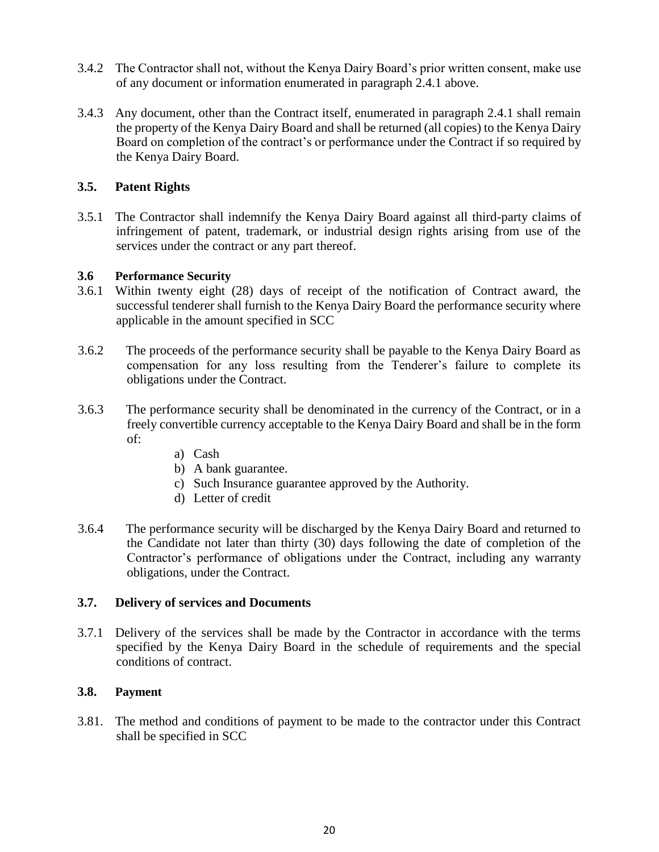- 3.4.2 The Contractor shall not, without the Kenya Dairy Board's prior written consent, make use of any document or information enumerated in paragraph 2.4.1 above.
- 3.4.3 Any document, other than the Contract itself, enumerated in paragraph 2.4.1 shall remain the property of the Kenya Dairy Board and shall be returned (all copies) to the Kenya Dairy Board on completion of the contract's or performance under the Contract if so required by the Kenya Dairy Board.

#### **3.5. Patent Rights**

3.5.1 The Contractor shall indemnify the Kenya Dairy Board against all third-party claims of infringement of patent, trademark, or industrial design rights arising from use of the services under the contract or any part thereof.

#### **3.6 Performance Security**

- 3.6.1 Within twenty eight (28) days of receipt of the notification of Contract award, the successful tenderer shall furnish to the Kenya Dairy Board the performance security where applicable in the amount specified in SCC
- 3.6.2 The proceeds of the performance security shall be payable to the Kenya Dairy Board as compensation for any loss resulting from the Tenderer's failure to complete its obligations under the Contract.
- 3.6.3 The performance security shall be denominated in the currency of the Contract, or in a freely convertible currency acceptable to the Kenya Dairy Board and shall be in the form of:
	- a) Cash
	- b) A bank guarantee.
	- c) Such Insurance guarantee approved by the Authority.
	- d) Letter of credit
- 3.6.4 The performance security will be discharged by the Kenya Dairy Board and returned to the Candidate not later than thirty (30) days following the date of completion of the Contractor's performance of obligations under the Contract, including any warranty obligations, under the Contract.

#### **3.7. Delivery of services and Documents**

3.7.1 Delivery of the services shall be made by the Contractor in accordance with the terms specified by the Kenya Dairy Board in the schedule of requirements and the special conditions of contract.

#### **3.8. Payment**

3.81. The method and conditions of payment to be made to the contractor under this Contract shall be specified in SCC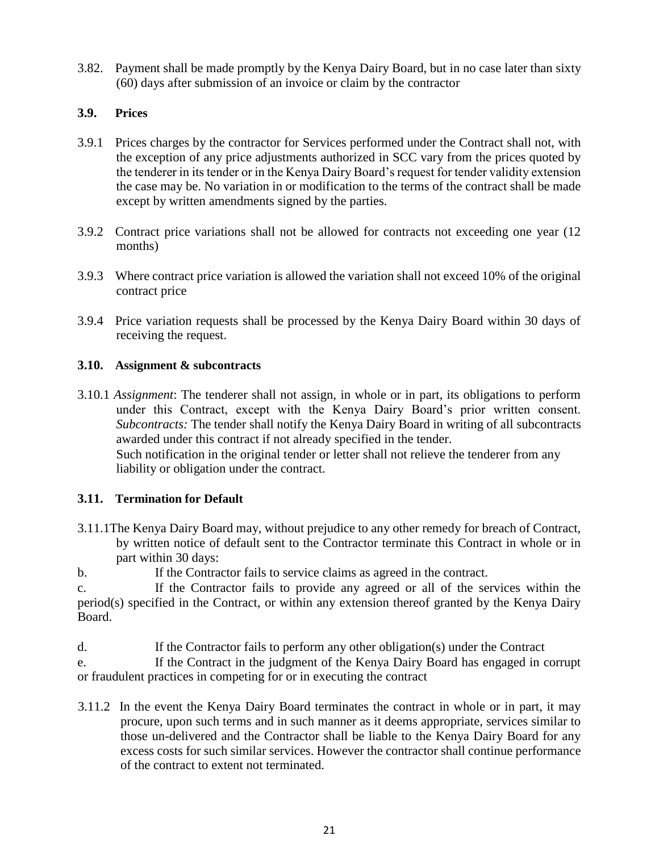3.82. Payment shall be made promptly by the Kenya Dairy Board, but in no case later than sixty (60) days after submission of an invoice or claim by the contractor

## **3.9. Prices**

- 3.9.1 Prices charges by the contractor for Services performed under the Contract shall not, with the exception of any price adjustments authorized in SCC vary from the prices quoted by the tenderer in its tender or in the Kenya Dairy Board's request for tender validity extension the case may be. No variation in or modification to the terms of the contract shall be made except by written amendments signed by the parties.
- 3.9.2 Contract price variations shall not be allowed for contracts not exceeding one year (12 months)
- 3.9.3 Where contract price variation is allowed the variation shall not exceed 10% of the original contract price
- 3.9.4 Price variation requests shall be processed by the Kenya Dairy Board within 30 days of receiving the request.

# **3.10. Assignment & subcontracts**

3.10.1 *Assignment*: The tenderer shall not assign, in whole or in part, its obligations to perform under this Contract, except with the Kenya Dairy Board's prior written consent. *Subcontracts:* The tender shall notify the Kenya Dairy Board in writing of all subcontracts awarded under this contract if not already specified in the tender. Such notification in the original tender or letter shall not relieve the tenderer from any liability or obligation under the contract.

## **3.11. Termination for Default**

3.11.1The Kenya Dairy Board may, without prejudice to any other remedy for breach of Contract, by written notice of default sent to the Contractor terminate this Contract in whole or in part within 30 days:

b. If the Contractor fails to service claims as agreed in the contract.

c. If the Contractor fails to provide any agreed or all of the services within the period(s) specified in the Contract, or within any extension thereof granted by the Kenya Dairy Board.

d. If the Contractor fails to perform any other obligation(s) under the Contract

e. If the Contract in the judgment of the Kenya Dairy Board has engaged in corrupt or fraudulent practices in competing for or in executing the contract

3.11.2 In the event the Kenya Dairy Board terminates the contract in whole or in part, it may procure, upon such terms and in such manner as it deems appropriate, services similar to those un-delivered and the Contractor shall be liable to the Kenya Dairy Board for any excess costs for such similar services. However the contractor shall continue performance of the contract to extent not terminated.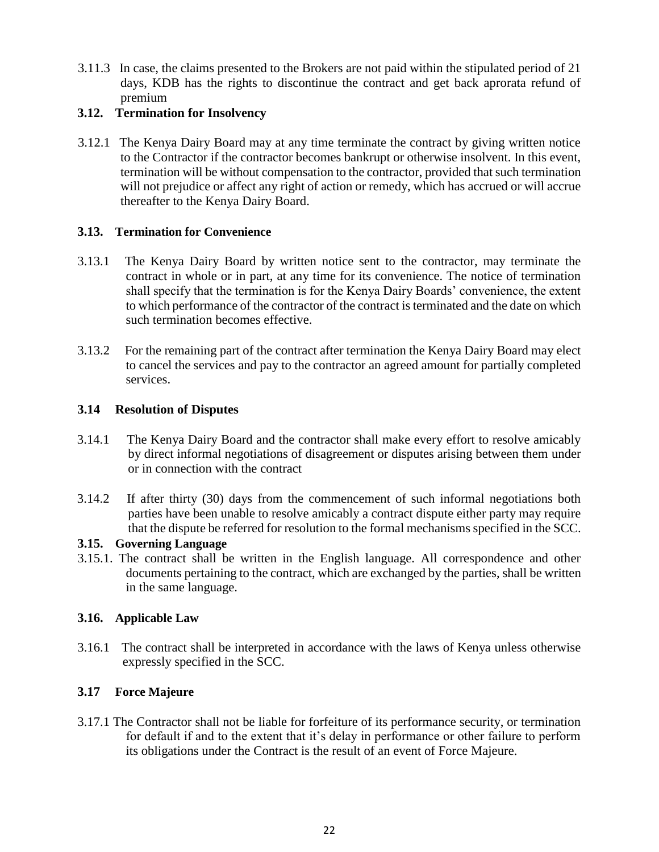3.11.3 In case, the claims presented to the Brokers are not paid within the stipulated period of 21 days, KDB has the rights to discontinue the contract and get back aprorata refund of premium

## **3.12. Termination for Insolvency**

3.12.1 The Kenya Dairy Board may at any time terminate the contract by giving written notice to the Contractor if the contractor becomes bankrupt or otherwise insolvent. In this event, termination will be without compensation to the contractor, provided that such termination will not prejudice or affect any right of action or remedy, which has accrued or will accrue thereafter to the Kenya Dairy Board.

#### **3.13. Termination for Convenience**

- 3.13.1 The Kenya Dairy Board by written notice sent to the contractor, may terminate the contract in whole or in part, at any time for its convenience. The notice of termination shall specify that the termination is for the Kenya Dairy Boards' convenience, the extent to which performance of the contractor of the contract is terminated and the date on which such termination becomes effective.
- 3.13.2 For the remaining part of the contract after termination the Kenya Dairy Board may elect to cancel the services and pay to the contractor an agreed amount for partially completed services.

#### **3.14 Resolution of Disputes**

- 3.14.1 The Kenya Dairy Board and the contractor shall make every effort to resolve amicably by direct informal negotiations of disagreement or disputes arising between them under or in connection with the contract
- 3.14.2 If after thirty (30) days from the commencement of such informal negotiations both parties have been unable to resolve amicably a contract dispute either party may require that the dispute be referred for resolution to the formal mechanisms specified in the SCC.

#### **3.15. Governing Language**

3.15.1. The contract shall be written in the English language. All correspondence and other documents pertaining to the contract, which are exchanged by the parties, shall be written in the same language.

#### **3.16. Applicable Law**

3.16.1 The contract shall be interpreted in accordance with the laws of Kenya unless otherwise expressly specified in the SCC.

## **3.17 Force Majeure**

3.17.1 The Contractor shall not be liable for forfeiture of its performance security, or termination for default if and to the extent that it's delay in performance or other failure to perform its obligations under the Contract is the result of an event of Force Majeure.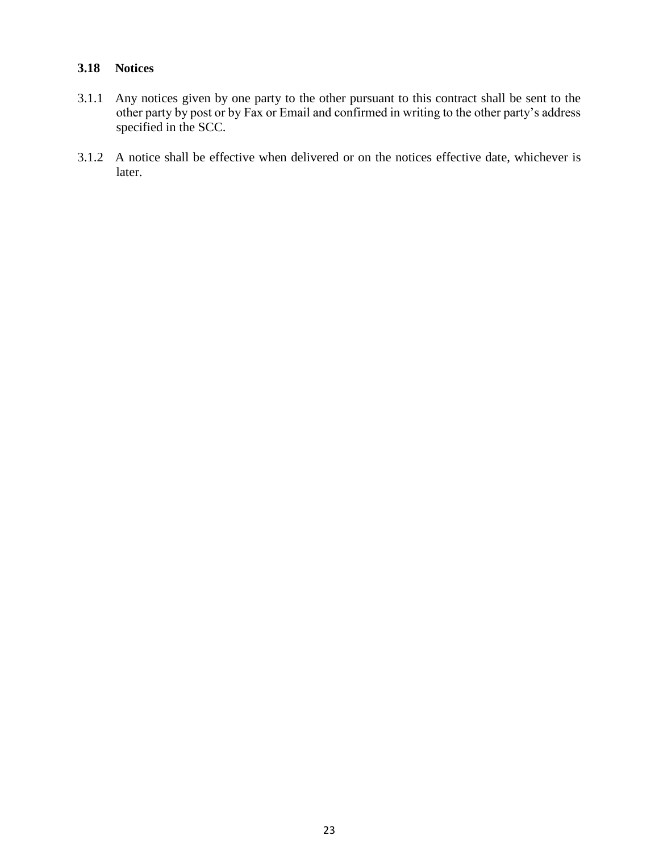# **3.18 Notices**

- 3.1.1 Any notices given by one party to the other pursuant to this contract shall be sent to the other party by post or by Fax or Email and confirmed in writing to the other party's address specified in the SCC.
- 3.1.2 A notice shall be effective when delivered or on the notices effective date, whichever is later.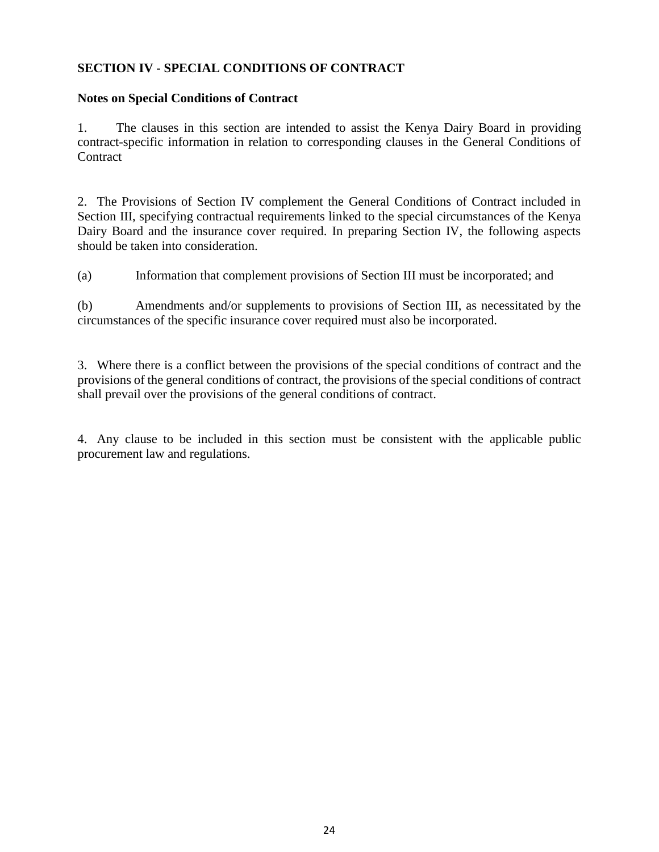## **SECTION IV - SPECIAL CONDITIONS OF CONTRACT**

### **Notes on Special Conditions of Contract**

1. The clauses in this section are intended to assist the Kenya Dairy Board in providing contract-specific information in relation to corresponding clauses in the General Conditions of **Contract** 

2. The Provisions of Section IV complement the General Conditions of Contract included in Section III, specifying contractual requirements linked to the special circumstances of the Kenya Dairy Board and the insurance cover required. In preparing Section IV, the following aspects should be taken into consideration.

(a) Information that complement provisions of Section III must be incorporated; and

(b) Amendments and/or supplements to provisions of Section III, as necessitated by the circumstances of the specific insurance cover required must also be incorporated.

3. Where there is a conflict between the provisions of the special conditions of contract and the provisions of the general conditions of contract, the provisions of the special conditions of contract shall prevail over the provisions of the general conditions of contract.

4. Any clause to be included in this section must be consistent with the applicable public procurement law and regulations.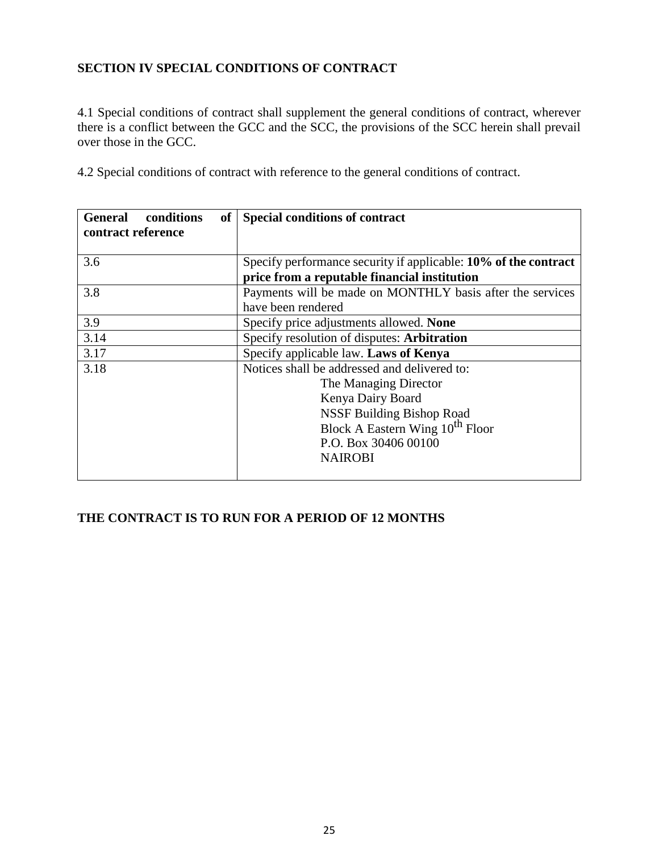# **SECTION IV SPECIAL CONDITIONS OF CONTRACT**

4.1 Special conditions of contract shall supplement the general conditions of contract, wherever there is a conflict between the GCC and the SCC, the provisions of the SCC herein shall prevail over those in the GCC.

4.2 Special conditions of contract with reference to the general conditions of contract.

| <b>General</b><br>conditions<br>of | <b>Special conditions of contract</b>                           |
|------------------------------------|-----------------------------------------------------------------|
| contract reference                 |                                                                 |
|                                    |                                                                 |
| 3.6                                | Specify performance security if applicable: 10% of the contract |
|                                    | price from a reputable financial institution                    |
| 3.8                                | Payments will be made on MONTHLY basis after the services       |
|                                    | have been rendered                                              |
| 3.9                                | Specify price adjustments allowed. None                         |
| 3.14                               | Specify resolution of disputes: Arbitration                     |
| 3.17                               | Specify applicable law. Laws of Kenya                           |
| 3.18                               | Notices shall be addressed and delivered to:                    |
|                                    | The Managing Director                                           |
|                                    | Kenya Dairy Board                                               |
|                                    | NSSF Building Bishop Road                                       |
|                                    | Block A Eastern Wing 10 <sup>th</sup> Floor                     |
|                                    | P.O. Box 30406 00100                                            |
|                                    | <b>NAIROBI</b>                                                  |
|                                    |                                                                 |

## **THE CONTRACT IS TO RUN FOR A PERIOD OF 12 MONTHS**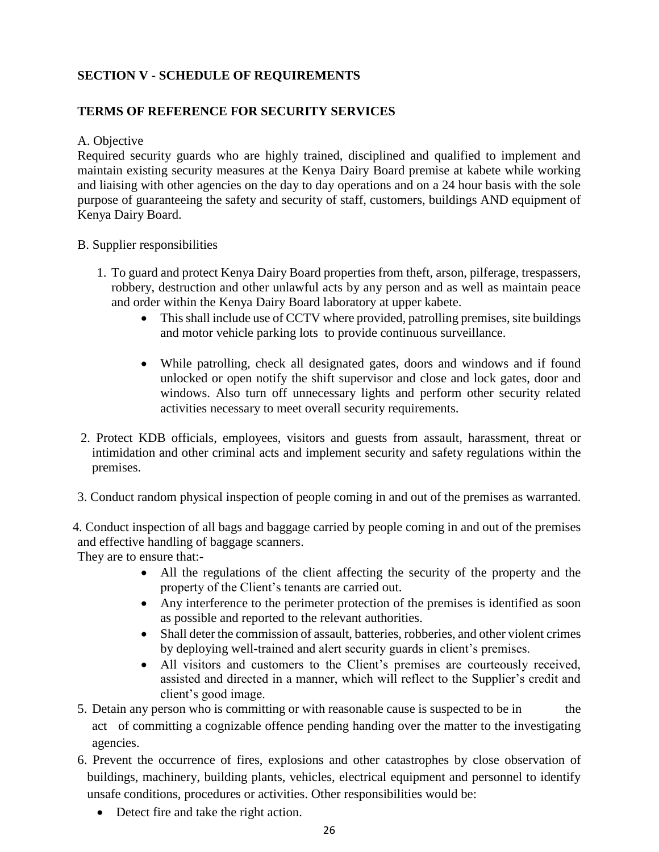# **SECTION V - SCHEDULE OF REQUIREMENTS**

# **TERMS OF REFERENCE FOR SECURITY SERVICES**

#### A. Objective

Required security guards who are highly trained, disciplined and qualified to implement and maintain existing security measures at the Kenya Dairy Board premise at kabete while working and liaising with other agencies on the day to day operations and on a 24 hour basis with the sole purpose of guaranteeing the safety and security of staff, customers, buildings AND equipment of Kenya Dairy Board.

#### B. Supplier responsibilities

- 1. To guard and protect Kenya Dairy Board properties from theft, arson, pilferage, trespassers, robbery, destruction and other unlawful acts by any person and as well as maintain peace and order within the Kenya Dairy Board laboratory at upper kabete.
	- This shall include use of CCTV where provided, patrolling premises, site buildings and motor vehicle parking lots to provide continuous surveillance.
	- While patrolling, check all designated gates, doors and windows and if found unlocked or open notify the shift supervisor and close and lock gates, door and windows. Also turn off unnecessary lights and perform other security related activities necessary to meet overall security requirements.
- 2. Protect KDB officials, employees, visitors and guests from assault, harassment, threat or intimidation and other criminal acts and implement security and safety regulations within the premises.
- 3. Conduct random physical inspection of people coming in and out of the premises as warranted.

4. Conduct inspection of all bags and baggage carried by people coming in and out of the premises and effective handling of baggage scanners.

They are to ensure that:-

- All the regulations of the client affecting the security of the property and the property of the Client's tenants are carried out.
- Any interference to the perimeter protection of the premises is identified as soon as possible and reported to the relevant authorities.
- Shall deter the commission of assault, batteries, robberies, and other violent crimes by deploying well-trained and alert security guards in client's premises.
- All visitors and customers to the Client's premises are courteously received, assisted and directed in a manner, which will reflect to the Supplier's credit and client's good image.
- 5. Detain any person who is committing or with reasonable cause is suspected to be in the act of committing a cognizable offence pending handing over the matter to the investigating agencies.
- 6. Prevent the occurrence of fires, explosions and other catastrophes by close observation of buildings, machinery, building plants, vehicles, electrical equipment and personnel to identify unsafe conditions, procedures or activities. Other responsibilities would be:
	- Detect fire and take the right action.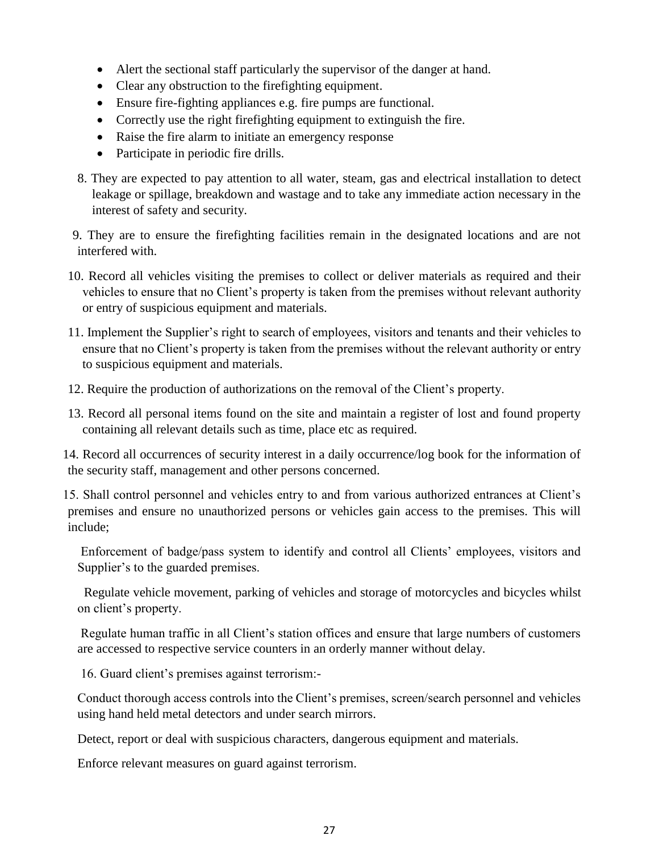- Alert the sectional staff particularly the supervisor of the danger at hand.
- Clear any obstruction to the firefighting equipment.
- Ensure fire-fighting appliances e.g. fire pumps are functional.
- Correctly use the right firefighting equipment to extinguish the fire.
- Raise the fire alarm to initiate an emergency response
- Participate in periodic fire drills.
- 8. They are expected to pay attention to all water, steam, gas and electrical installation to detect leakage or spillage, breakdown and wastage and to take any immediate action necessary in the interest of safety and security.
- 9. They are to ensure the firefighting facilities remain in the designated locations and are not interfered with.
- 10. Record all vehicles visiting the premises to collect or deliver materials as required and their vehicles to ensure that no Client's property is taken from the premises without relevant authority or entry of suspicious equipment and materials.
- 11. Implement the Supplier's right to search of employees, visitors and tenants and their vehicles to ensure that no Client's property is taken from the premises without the relevant authority or entry to suspicious equipment and materials.
- 12. Require the production of authorizations on the removal of the Client's property.
- 13. Record all personal items found on the site and maintain a register of lost and found property containing all relevant details such as time, place etc as required.

14. Record all occurrences of security interest in a daily occurrence/log book for the information of the security staff, management and other persons concerned.

15. Shall control personnel and vehicles entry to and from various authorized entrances at Client's premises and ensure no unauthorized persons or vehicles gain access to the premises. This will include;

Enforcement of badge/pass system to identify and control all Clients' employees, visitors and Supplier's to the guarded premises.

Regulate vehicle movement, parking of vehicles and storage of motorcycles and bicycles whilst on client's property.

Regulate human traffic in all Client's station offices and ensure that large numbers of customers are accessed to respective service counters in an orderly manner without delay.

16. Guard client's premises against terrorism:-

Conduct thorough access controls into the Client's premises, screen/search personnel and vehicles using hand held metal detectors and under search mirrors.

Detect, report or deal with suspicious characters, dangerous equipment and materials.

Enforce relevant measures on guard against terrorism.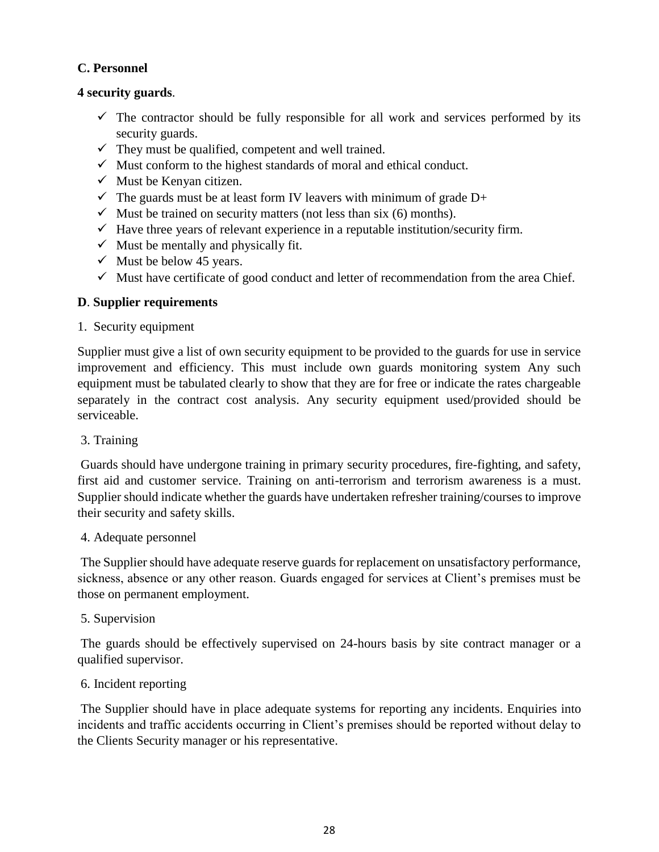## **C. Personnel**

## **4 security guards**.

- $\checkmark$  The contractor should be fully responsible for all work and services performed by its security guards.
- $\checkmark$  They must be qualified, competent and well trained.
- $\checkmark$  Must conform to the highest standards of moral and ethical conduct.
- $\checkmark$  Must be Kenyan citizen.
- $\checkmark$  The guards must be at least form IV leavers with minimum of grade D+
- $\checkmark$  Must be trained on security matters (not less than six (6) months).
- $\checkmark$  Have three years of relevant experience in a reputable institution/security firm.
- $\checkmark$  Must be mentally and physically fit.
- $\checkmark$  Must be below 45 years.
- $\checkmark$  Must have certificate of good conduct and letter of recommendation from the area Chief.

# **D**. **Supplier requirements**

#### 1. Security equipment

Supplier must give a list of own security equipment to be provided to the guards for use in service improvement and efficiency. This must include own guards monitoring system Any such equipment must be tabulated clearly to show that they are for free or indicate the rates chargeable separately in the contract cost analysis. Any security equipment used/provided should be serviceable.

## 3. Training

Guards should have undergone training in primary security procedures, fire-fighting, and safety, first aid and customer service. Training on anti-terrorism and terrorism awareness is a must. Supplier should indicate whether the guards have undertaken refresher training/courses to improve their security and safety skills.

#### 4. Adequate personnel

The Supplier should have adequate reserve guards for replacement on unsatisfactory performance, sickness, absence or any other reason. Guards engaged for services at Client's premises must be those on permanent employment.

## 5. Supervision

The guards should be effectively supervised on 24-hours basis by site contract manager or a qualified supervisor.

## 6. Incident reporting

The Supplier should have in place adequate systems for reporting any incidents. Enquiries into incidents and traffic accidents occurring in Client's premises should be reported without delay to the Clients Security manager or his representative.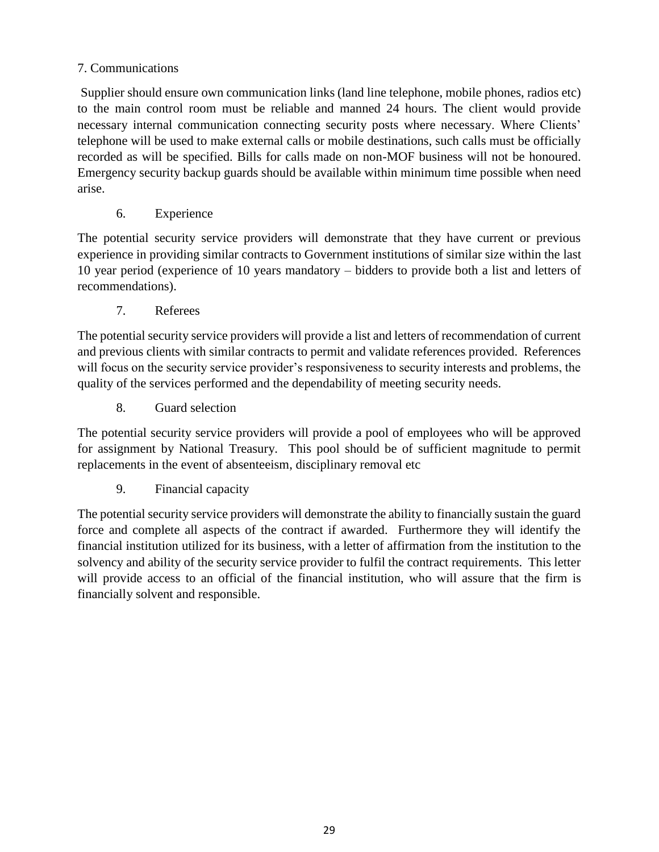# 7. Communications

Supplier should ensure own communication links (land line telephone, mobile phones, radios etc) to the main control room must be reliable and manned 24 hours. The client would provide necessary internal communication connecting security posts where necessary. Where Clients' telephone will be used to make external calls or mobile destinations, such calls must be officially recorded as will be specified. Bills for calls made on non-MOF business will not be honoured. Emergency security backup guards should be available within minimum time possible when need arise.

# 6. Experience

The potential security service providers will demonstrate that they have current or previous experience in providing similar contracts to Government institutions of similar size within the last 10 year period (experience of 10 years mandatory – bidders to provide both a list and letters of recommendations).

7. Referees

The potential security service providers will provide a list and letters of recommendation of current and previous clients with similar contracts to permit and validate references provided. References will focus on the security service provider's responsiveness to security interests and problems, the quality of the services performed and the dependability of meeting security needs.

8. Guard selection

The potential security service providers will provide a pool of employees who will be approved for assignment by National Treasury. This pool should be of sufficient magnitude to permit replacements in the event of absenteeism, disciplinary removal etc

## 9. Financial capacity

The potential security service providers will demonstrate the ability to financially sustain the guard force and complete all aspects of the contract if awarded. Furthermore they will identify the financial institution utilized for its business, with a letter of affirmation from the institution to the solvency and ability of the security service provider to fulfil the contract requirements. This letter will provide access to an official of the financial institution, who will assure that the firm is financially solvent and responsible.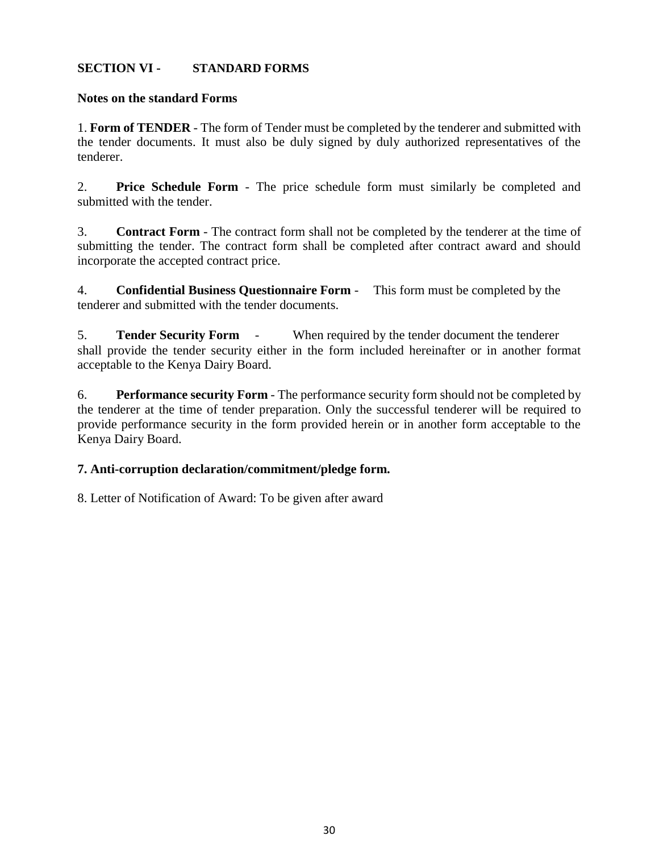# **SECTION VI - STANDARD FORMS**

#### **Notes on the standard Forms**

1. **Form of TENDER** - The form of Tender must be completed by the tenderer and submitted with the tender documents. It must also be duly signed by duly authorized representatives of the tenderer.

2. **Price Schedule Form** - The price schedule form must similarly be completed and submitted with the tender.

3. **Contract Form** - The contract form shall not be completed by the tenderer at the time of submitting the tender. The contract form shall be completed after contract award and should incorporate the accepted contract price.

4. **Confidential Business Questionnaire Form** - This form must be completed by the tenderer and submitted with the tender documents.

5. **Tender Security Form** - When required by the tender document the tenderer shall provide the tender security either in the form included hereinafter or in another format acceptable to the Kenya Dairy Board.

6. **Performance security Form** - The performance security form should not be completed by the tenderer at the time of tender preparation. Only the successful tenderer will be required to provide performance security in the form provided herein or in another form acceptable to the Kenya Dairy Board.

## **7. Anti-corruption declaration/commitment/pledge form.**

8. Letter of Notification of Award: To be given after award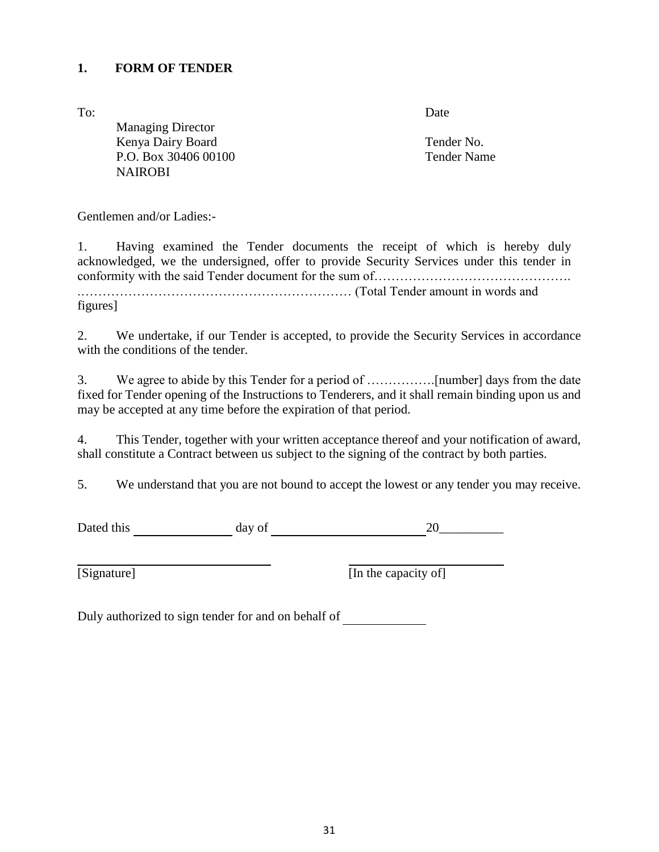#### **1. FORM OF TENDER**

Managing Director Kenya Dairy Board Tender No. P.O. Box 30406 00100 Tender Name **NAIROBI** 

To: Date

Gentlemen and/or Ladies:-

1. Having examined the Tender documents the receipt of which is hereby duly acknowledged, we the undersigned, offer to provide Security Services under this tender in conformity with the said Tender document for the sum of………………………………………. .……………………………………………………… (Total Tender amount in words and figures]

2. We undertake, if our Tender is accepted, to provide the Security Services in accordance with the conditions of the tender.

3. We agree to abide by this Tender for a period of …………….[number] days from the date fixed for Tender opening of the Instructions to Tenderers, and it shall remain binding upon us and may be accepted at any time before the expiration of that period.

4. This Tender, together with your written acceptance thereof and your notification of award, shall constitute a Contract between us subject to the signing of the contract by both parties.

5. We understand that you are not bound to accept the lowest or any tender you may receive.

Dated this day of 20\_\_\_\_\_\_\_\_\_\_

[Signature] **[In the capacity of]** 

Duly authorized to sign tender for and on behalf of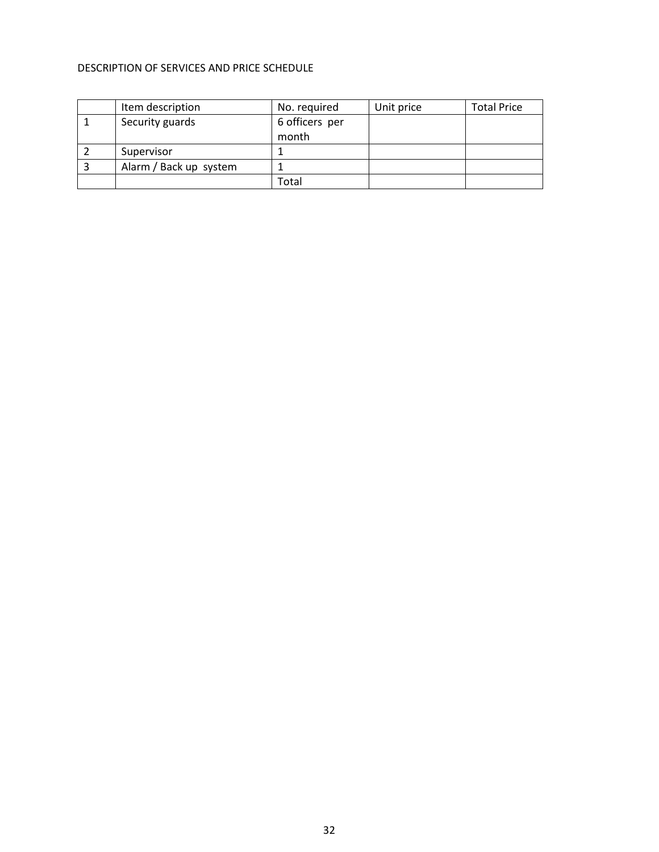# DESCRIPTION OF SERVICES AND PRICE SCHEDULE

| Item description       | No. required   | Unit price | <b>Total Price</b> |
|------------------------|----------------|------------|--------------------|
| Security guards        | 6 officers per |            |                    |
|                        | month          |            |                    |
| Supervisor             |                |            |                    |
| Alarm / Back up system |                |            |                    |
|                        | Total          |            |                    |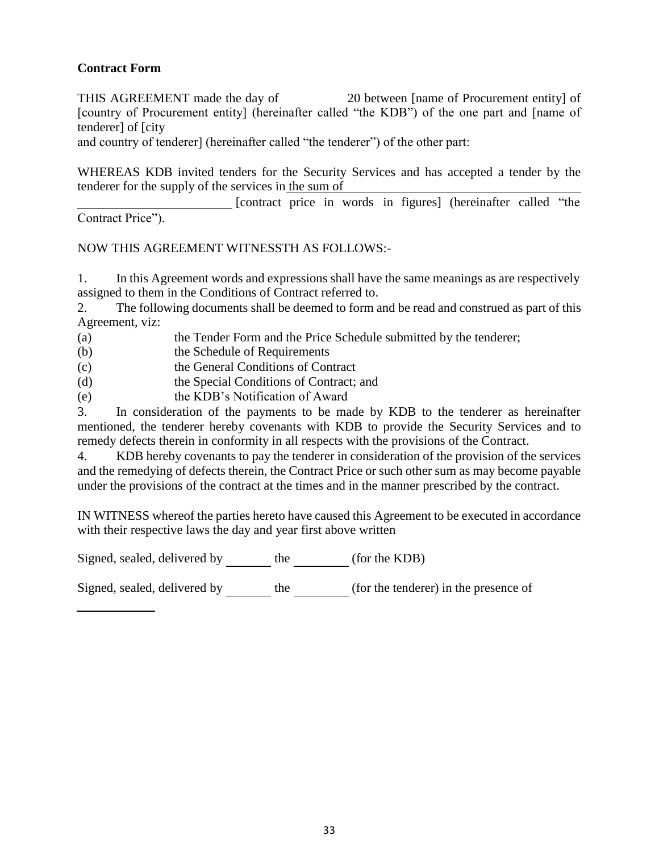# **Contract Form**

THIS AGREEMENT made the day of 20 between [name of Procurement entity] of [country of Procurement entity] (hereinafter called "the KDB") of the one part and [name of tenderer] of [city

and country of tenderer] (hereinafter called "the tenderer") of the other part:

WHEREAS KDB invited tenders for the Security Services and has accepted a tender by the tenderer for the supply of the services in the sum of

[contract price in words in figures] (hereinafter called "the Contract Price").

## NOW THIS AGREEMENT WITNESSTH AS FOLLOWS:-

1. In this Agreement words and expressions shall have the same meanings as are respectively assigned to them in the Conditions of Contract referred to.

2. The following documents shall be deemed to form and be read and construed as part of this Agreement, viz:

- (a) the Tender Form and the Price Schedule submitted by the tenderer;
- (b) the Schedule of Requirements
- (c) the General Conditions of Contract
- (d) the Special Conditions of Contract; and
- (e) the KDB's Notification of Award

3. In consideration of the payments to be made by KDB to the tenderer as hereinafter mentioned, the tenderer hereby covenants with KDB to provide the Security Services and to remedy defects therein in conformity in all respects with the provisions of the Contract.

4. KDB hereby covenants to pay the tenderer in consideration of the provision of the services and the remedying of defects therein, the Contract Price or such other sum as may become payable under the provisions of the contract at the times and in the manner prescribed by the contract.

IN WITNESS whereof the parties hereto have caused this Agreement to be executed in accordance with their respective laws the day and year first above written

Signed, sealed, delivered by the (for the KDB)

Signed, sealed, delivered by the (for the tenderer) in the presence of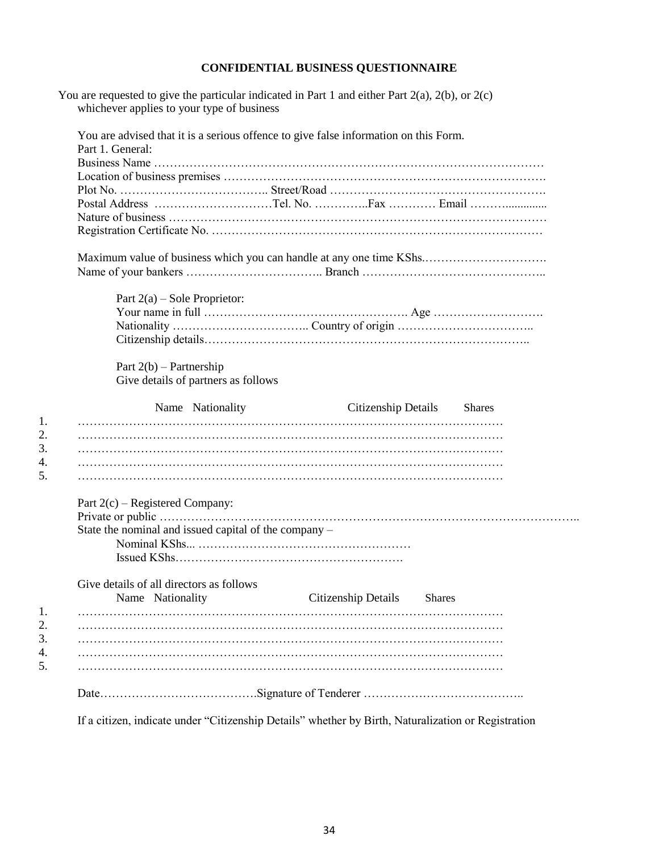# **CONFIDENTIAL BUSINESS QUESTIONNAIRE**

| whichever applies to your type of business                                           | You are requested to give the particular indicated in Part 1 and either Part 2(a), 2(b), or 2(c) |
|--------------------------------------------------------------------------------------|--------------------------------------------------------------------------------------------------|
| You are advised that it is a serious offence to give false information on this Form. |                                                                                                  |
| Part 1. General:                                                                     |                                                                                                  |
|                                                                                      |                                                                                                  |
|                                                                                      |                                                                                                  |
|                                                                                      |                                                                                                  |
|                                                                                      |                                                                                                  |
|                                                                                      |                                                                                                  |
|                                                                                      |                                                                                                  |
|                                                                                      | Maximum value of business which you can handle at any one time KShs                              |
|                                                                                      |                                                                                                  |
|                                                                                      |                                                                                                  |
| Part $2(a)$ – Sole Proprietor:                                                       |                                                                                                  |
|                                                                                      |                                                                                                  |
|                                                                                      |                                                                                                  |
|                                                                                      |                                                                                                  |
| Part $2(b)$ – Partnership                                                            |                                                                                                  |
| Give details of partners as follows                                                  |                                                                                                  |
| Name Nationality                                                                     | Citizenship Details Shares                                                                       |
|                                                                                      |                                                                                                  |
|                                                                                      |                                                                                                  |
|                                                                                      |                                                                                                  |
|                                                                                      |                                                                                                  |
|                                                                                      |                                                                                                  |
| Part $2(c)$ – Registered Company:                                                    |                                                                                                  |
|                                                                                      |                                                                                                  |
| State the nominal and issued capital of the company -                                |                                                                                                  |
|                                                                                      |                                                                                                  |
|                                                                                      |                                                                                                  |
|                                                                                      |                                                                                                  |
| Give details of all directors as follows                                             |                                                                                                  |
| Name Nationality                                                                     | <b>Citizenship Details</b><br><b>Shares</b>                                                      |
|                                                                                      |                                                                                                  |
|                                                                                      |                                                                                                  |
|                                                                                      |                                                                                                  |
|                                                                                      |                                                                                                  |
|                                                                                      |                                                                                                  |
|                                                                                      |                                                                                                  |
|                                                                                      |                                                                                                  |

If a citizen, indicate under "Citizenship Details" whether by Birth, Naturalization or Registration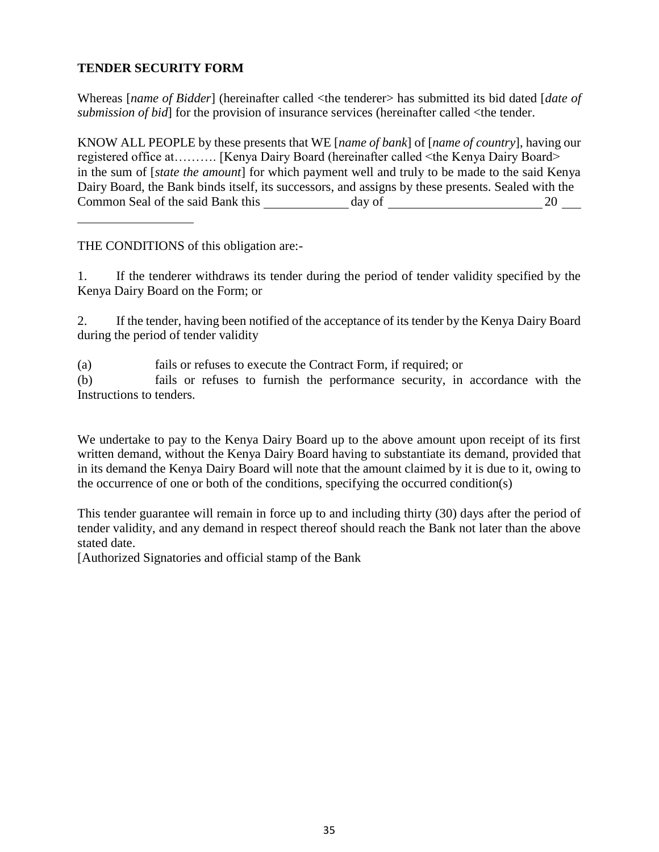# **TENDER SECURITY FORM**

Whereas [*name of Bidder*] (hereinafter called <the tenderer> has submitted its bid dated [*date of submission of bid*] for the provision of insurance services (hereinafter called <the tender.

KNOW ALL PEOPLE by these presents that WE [*name of bank*] of [*name of country*], having our registered office at………. [Kenya Dairy Board (hereinafter called <the Kenya Dairy Board> in the sum of [*state the amount*] for which payment well and truly to be made to the said Kenya Dairy Board, the Bank binds itself, its successors, and assigns by these presents. Sealed with the Common Seal of the said Bank this day of 20

THE CONDITIONS of this obligation are:-

1. If the tenderer withdraws its tender during the period of tender validity specified by the Kenya Dairy Board on the Form; or

2. If the tender, having been notified of the acceptance of its tender by the Kenya Dairy Board during the period of tender validity

(a) fails or refuses to execute the Contract Form, if required; or

(b) fails or refuses to furnish the performance security, in accordance with the Instructions to tenders.

We undertake to pay to the Kenya Dairy Board up to the above amount upon receipt of its first written demand, without the Kenya Dairy Board having to substantiate its demand, provided that in its demand the Kenya Dairy Board will note that the amount claimed by it is due to it, owing to the occurrence of one or both of the conditions, specifying the occurred condition(s)

This tender guarantee will remain in force up to and including thirty (30) days after the period of tender validity, and any demand in respect thereof should reach the Bank not later than the above stated date.

[Authorized Signatories and official stamp of the Bank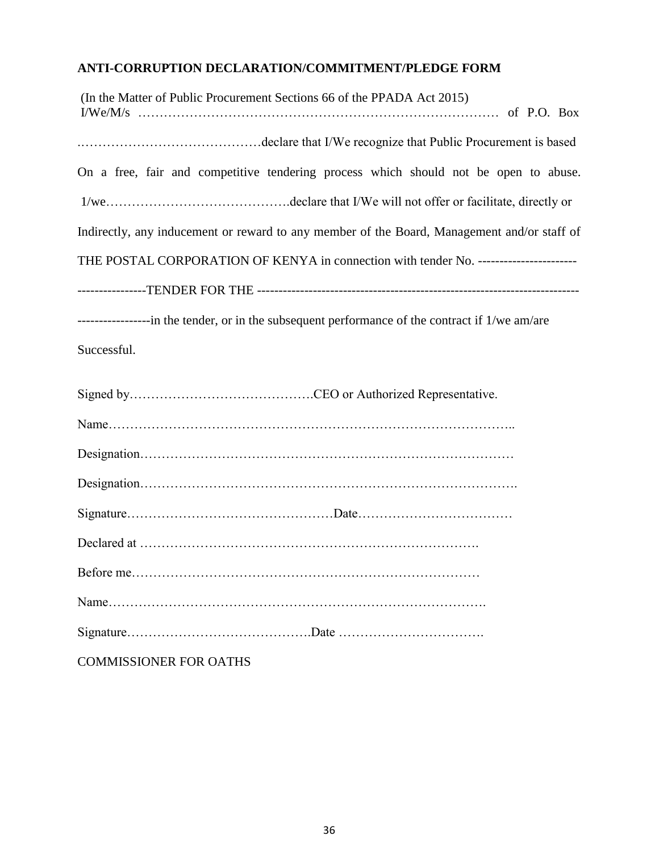# **ANTI-CORRUPTION DECLARATION/COMMITMENT/PLEDGE FORM**

| (In the Matter of Public Procurement Sections 66 of the PPADA Act 2015)                           |
|---------------------------------------------------------------------------------------------------|
|                                                                                                   |
| On a free, fair and competitive tendering process which should not be open to abuse.              |
|                                                                                                   |
| Indirectly, any inducement or reward to any member of the Board, Management and/or staff of       |
| THE POSTAL CORPORATION OF KENYA in connection with tender No. -----------------------             |
|                                                                                                   |
| -------------------in the tender, or in the subsequent performance of the contract if 1/we am/are |
| Successful.                                                                                       |
|                                                                                                   |
|                                                                                                   |
|                                                                                                   |
|                                                                                                   |
|                                                                                                   |
|                                                                                                   |
| Before me                                                                                         |
|                                                                                                   |
|                                                                                                   |
| <b>COMMISSIONER FOR OATHS</b>                                                                     |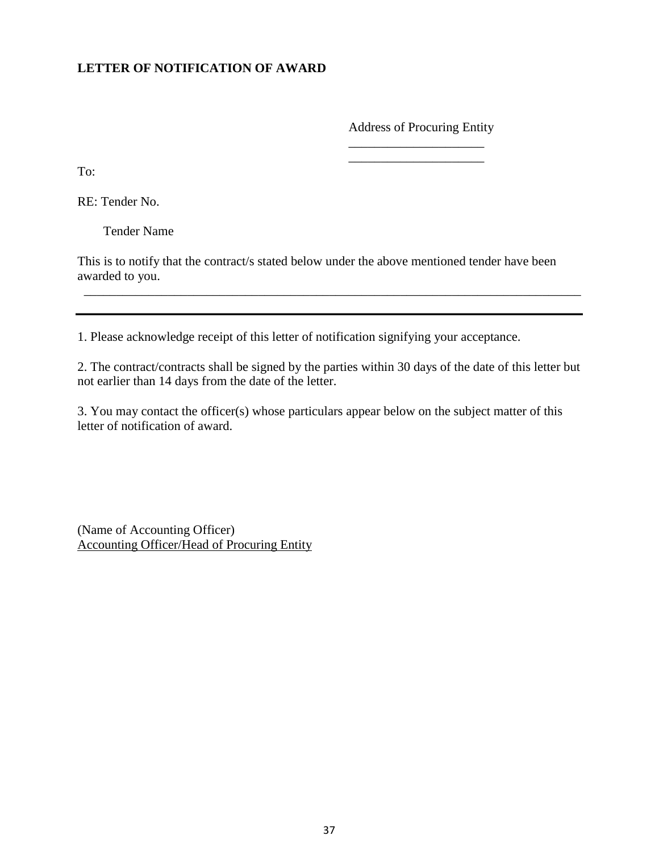# **LETTER OF NOTIFICATION OF AWARD**

Address of Procuring Entity \_\_\_\_\_\_\_\_\_\_\_\_\_\_\_\_\_\_\_\_\_

\_\_\_\_\_\_\_\_\_\_\_\_\_\_\_\_\_\_\_\_\_

To:

RE: Tender No.

Tender Name

This is to notify that the contract/s stated below under the above mentioned tender have been awarded to you.

1. Please acknowledge receipt of this letter of notification signifying your acceptance.

2. The contract/contracts shall be signed by the parties within 30 days of the date of this letter but not earlier than 14 days from the date of the letter.

\_\_\_\_\_\_\_\_\_\_\_\_\_\_\_\_\_\_\_\_\_\_\_\_\_\_\_\_\_\_\_\_\_\_\_\_\_\_\_\_\_\_\_\_\_\_\_\_\_\_\_\_\_\_\_\_\_\_\_\_\_\_\_\_\_\_\_\_\_\_\_\_\_\_\_\_\_

3. You may contact the officer(s) whose particulars appear below on the subject matter of this letter of notification of award.

(Name of Accounting Officer) Accounting Officer/Head of Procuring Entity